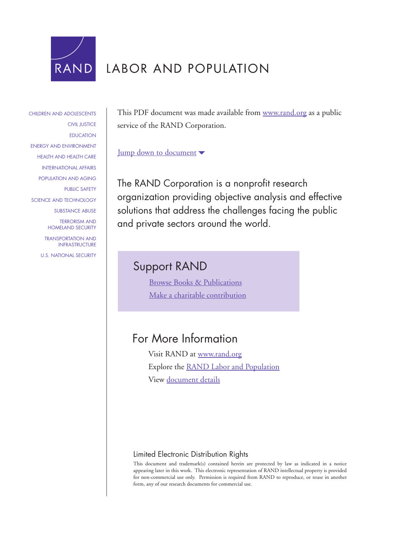

# LABOR AND POPULATION

[CHILDREN AND ADOLESCENTS](http://www.rand.org/pdfrd/research_areas/children/) [CIVIL JUSTICE](http://www.rand.org/pdfrd/research_areas/civil_justice/) **[EDUCATION](http://www.rand.org/pdfrd/research_areas/education/)** [ENERGY AND ENVIRONMENT](http://www.rand.org/pdfrd/research_areas/energy_environment/) [HEALTH AND HEALTH CARE](http://www.rand.org/pdfrd/research_areas/health/) [INTERNATIONAL AFFAIRS](http://www.rand.org/pdfrd/research_areas/international_affairs/) [POPULATION AND AGING](http://www.rand.org/pdfrd/research_areas/population/) [PUBLIC SAFETY](http://www.rand.org/pdfrd/research_areas/public_safety/) [SCIENCE AND TECHNOLOGY](http://www.rand.org/pdfrd/research_areas/science_technology/) [SUBSTANCE ABUSE](http://www.rand.org/pdfrd/research_areas/substance_abuse/) [TERRORISM AND](http://www.rand.org/pdfrd/research_areas/terrorism/)  [HOMELAND SECURITY](http://www.rand.org/pdfrd/research_areas/terrorism/) [TRANSPORTATION AND](http://www.rand.org/pdfrd/research_areas/infrastructure/) [INFRASTRUCTURE](http://www.rand.org/pdfrd/research_areas/infrastructure/)

[U.S. NATIONAL SECURITY](http://www.rand.org/pdfrd/research_areas/national_security/)

This PDF document was made available from [www.rand.org](http://www.rand.org/pdfrd/) as a public service of the RAND Corporation.

### [Jump down to document](#page-1-0)

The RAND Corporation is a nonprofit research organization providing objective analysis and effective solutions that address the challenges facing the public and private sectors around the world.

## Support RAND

[Browse Books & Publications](http://www.rand.org/pdfrd/publications/electronic/) [Make a charitable contribution](http://www.rand.org/pdfrd/giving/contribute.html)

### For More Information

Visit RAND at [www.rand.org](http://www.rand.org/pdfrd/) Explore the [RAND Labor and Population](http://www.rand.org/pdfrd/labor/) View [document details](http://www.rand.org/pdfrd/publications/RP/RP1105/)

### Limited Electronic Distribution Rights

This document and trademark(s) contained herein are protected by law as indicated in a notice appearing later in this work. This electronic representation of RAND intellectual property is provided for non-commercial use only. Permission is required from RAND to reproduce, or reuse in another form, any of our research documents for commercial use.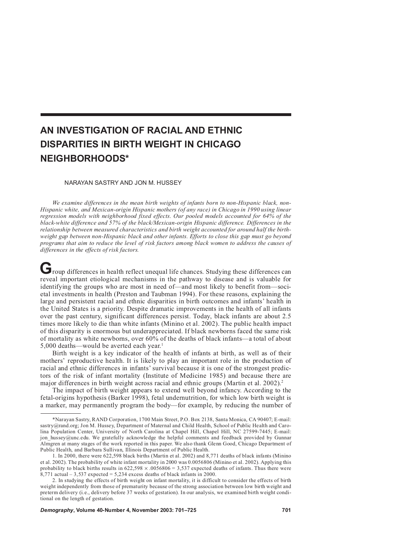## <span id="page-1-0"></span>**AN INVESTIGATION OF RACIAL AND ETHNIC DISPARITIES IN BIRTH WEIGHT IN CHICAGO NEIGHBORHOODS\***

#### NARAYAN SASTRY AND JON M. HUSSEY

*We examine differences in the mean birth weights of infants born to non-Hispanic black, non-Hispanic white, and Mexican-origin Hispanic mothers (of any race) in Chicago in 1990 using linear regression models with neighborhood fixed effects. Our pooled models accounted for 64% of the black-white difference and 57% of the black/Mexican-origin Hispanic difference. Differences in the relationship between measured characteristics and birth weight accounted for around half the birthweight gap between non-Hispanic black and other infants. Efforts to close this gap must go beyond programs that aim to reduce the level of risk factors among black women to address the causes of differences in the effects of risk factors.*

**G** roup differences in health reflect unequal life chances. Studying these differences can reveal important etiological mechanisms in the pathway to disease and is valuable for identifying the groups who are most in need of—and most likely to benefit from—societal investments in health (Preston and Taubman 1994). For these reasons, explaining the large and persistent racial and ethnic disparities in birth outcomes and infants' health in the United States is a priority. Despite dramatic improvements in the health of all infants over the past century, significant differences persist. Today, black infants are about 2.5 times more likely to die than white infants (Minino et al. 2002). The public health impact of this disparity is enormous but underappreciated. If black newborns faced the same risk of mortality as white newborns, over 60% of the deaths of black infants—a total of about 5,000 deaths—would be averted each year.<sup>1</sup>

Birth weight is a key indicator of the health of infants at birth, as well as of their mothers' reproductive health. It is likely to play an important role in the production of racial and ethnic differences in infants' survival because it is one of the strongest predictors of the risk of infant mortality (Institute of Medicine 1985) and because there are major differences in birth weight across racial and ethnic groups (Martin et al.  $2002$ ).<sup>2</sup>

The impact of birth weight appears to extend well beyond infancy. According to the fetal-origins hypothesis (Barker 1998), fetal undernutrition, for which low birth weight is a marker, may permanently program the body—for example, by reducing the number of

<sup>\*</sup>Narayan Sastry, RAND Corporation, 1700 Main Street, P.O. Box 2138, Santa Monica, CA 90407; E-mail: sastry@rand.org; Jon M. Hussey, Department of Maternal and Child Health, School of Public Health and Carolina Population Center, University of North Carolina at Chapel Hill, Chapel Hill, NC 27599-7445; E-mail: jon hussey@unc.edu. We gratefully acknowledge the helpful comments and feedback provided by Gunnar Almgren at many stages of the work reported in this paper. We also thank Glenn Good, Chicago Department of Public Health, and Barbara Sullivan, Illinois Department of Public Health.

<sup>1.</sup> In 2000, there were 622,598 black births (Martin et al. 2002) and 8,771 deaths of black infants (Minino et al. 2002). The probability of white infant mortality in 2000 was 0.0056806 (Minino et al. 2002). Applying this probability to black births results in  $622,598 \times 0.0056806 = 3,537$  expected deaths of infants. Thus there were  $8.771$  actual – 3.537 expected = 5.234 excess deaths of black infants in 2000.

<sup>2.</sup> In studying the effects of birth weight on infant mortality, it is difficult to consider the effects of birth weight independently from those of prematurity because of the strong association between low birth weight and preterm delivery (i.e., delivery before 37 weeks of gestation). In our analysis, we examined birth weight conditional on the length of gestation.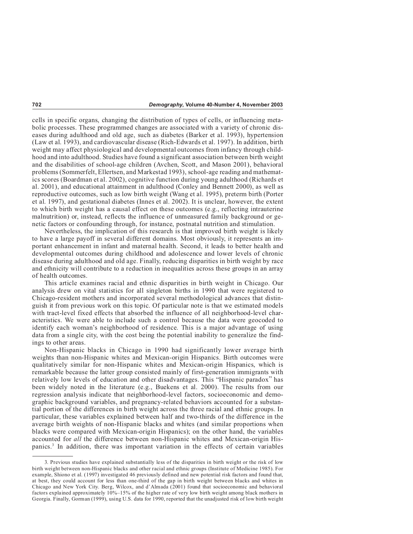cells in specific organs, changing the distribution of types of cells, or influencing metabolic processes. These programmed changes are associated with a variety of chronic diseases during adulthood and old age, such as diabetes (Barker et al. 1993), hypertension (Law et al. 1993), and cardiovascular disease (Rich-Edwards et al. 1997). In addition, birth weight may affect physiological and developmental outcomes from infancy through childhood and into adulthood. Studies have found a significant association between birth weight and the disabilities of school-age children (Avchen, Scott, and Mason 2001), behavioral problems (Sommerfelt, Ellertsen, and Markestad 1993), school-age reading and mathematics scores (Boardman et al. 2002), cognitive function during young adulthood (Richards et al. 2001), and educational attainment in adulthood (Conley and Bennett 2000), as well as reproductive outcomes, such as low birth weight (Wang et al. 1995), preterm birth (Porter et al. 1997), and gestational diabetes (Innes et al. 2002). It is unclear, however, the extent to which birth weight has a causal effect on these outcomes (e.g., reflecting intrauterine malnutrition) or, instead, reflects the influence of unmeasured family background or genetic factors or confounding through, for instance, postnatal nutrition and stimulation.

Nevertheless, the implication of this research is that improved birth weight is likely to have a large payoff in several different domains. Most obviously, it represents an important enhancement in infant and maternal health. Second, it leads to better health and developmental outcomes during childhood and adolescence and lower levels of chronic disease during adulthood and old age. Finally, reducing disparities in birth weight by race and ethnicity will contribute to a reduction in inequalities across these groups in an array of health outcomes.

This article examines racial and ethnic disparities in birth weight in Chicago. Our analysis drew on vital statistics for all singleton births in 1990 that were registered to Chicago-resident mothers and incorporated several methodological advances that distinguish it from previous work on this topic. Of particular note is that we estimated models with tract-level fixed effects that absorbed the influence of all neighborhood-level characteristics. We were able to include such a control because the data were geocoded to identify each woman's neighborhood of residence. This is a major advantage of using data from a single city, with the cost being the potential inability to generalize the findings to other areas.

Non-Hispanic blacks in Chicago in 1990 had significantly lower average birth weights than non-Hispanic whites and Mexican-origin Hispanics. Birth outcomes were qualitatively similar for non-Hispanic whites and Mexican-origin Hispanics, which is remarkable because the latter group consisted mainly of first-generation immigrants with relatively low levels of education and other disadvantages. This "Hispanic paradox" has been widely noted in the literature (e.g., Buekens et al. 2000). The results from our regression analysis indicate that neighborhood-level factors, socioeconomic and demographic background variables, and pregnancy-related behaviors accounted for a substantial portion of the differences in birth weight across the three racial and ethnic groups. In particular, these variables explained between half and two-thirds of the difference in the average birth weights of non-Hispanic blacks and whites (and similar proportions when blacks were compared with Mexican-origin Hispanics); on the other hand, the variables accounted for *all* the difference between non-Hispanic whites and Mexican-origin Hispanics.3 In addition, there was important variation in the effects of certain variables

<sup>3.</sup> Previous studies have explained substantially less of the disparities in birth weight or the risk of low birth weight between non-Hispanic blacks and other racial and ethnic groups (Institute of Medicine 1985). For example, Shiono et al. (1997) investigated 46 previously defined and new potential risk factors and found that, at best, they could account for less than one-third of the gap in birth weight between blacks and whites in Chicago and New York City. Berg, Wilcox, and d'Almada (2001) found that socioeconomic and behavioral factors explained approximately 10%–15% of the higher rate of very low birth weight among black mothers in Georgia. Finally, Gorman (1999), using U.S. data for 1990, reported that the unadjusted risk of low birth weight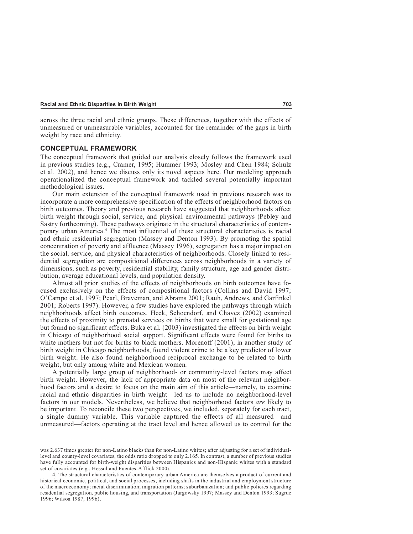across the three racial and ethnic groups. These differences, together with the effects of unmeasured or unmeasurable variables, accounted for the remainder of the gaps in birth weight by race and ethnicity.

#### **CONCEPTUAL FRAMEWORK**

The conceptual framework that guided our analysis closely follows the framework used in previous studies (e.g., Cramer, 1995; Hummer 1993; Mosley and Chen 1984; Schulz et al. 2002), and hence we discuss only its novel aspects here. Our modeling approach operationalized the conceptual framework and tackled several potentially important methodological issues.

Our main extension of the conceptual framework used in previous research was to incorporate a more comprehensive specification of the effects of neighborhood factors on birth outcomes. Theory and previous research have suggested that neighborhoods affect birth weight through social, service, and physical environmental pathways (Pebley and Sastry forthcoming). These pathways originate in the structural characteristics of contemporary urban America.4 The most influential of these structural characteristics is racial and ethnic residential segregation (Massey and Denton 1993). By promoting the spatial concentration of poverty and affluence (Massey 1996), segregation has a major impact on the social, service, and physical characteristics of neighborhoods. Closely linked to residential segregation are compositional differences across neighborhoods in a variety of dimensions, such as poverty, residential stability, family structure, age and gender distribution, average educational levels, and population density.

Almost all prior studies of the effects of neighborhoods on birth outcomes have focused exclusively on the effects of compositional factors (Collins and David 1997; O'Campo et al. 1997; Pearl, Braveman, and Abrams 2001; Rauh, Andrews, and Garfinkel 2001; Roberts 1997). However, a few studies have explored the pathways through which neighborhoods affect birth outcomes. Heck, Schoendorf, and Chavez (2002) examined the effects of proximity to prenatal services on births that were small for gestational age but found no significant effects. Buka et al. (2003) investigated the effects on birth weight in Chicago of neighborhood social support. Significant effects were found for births to white mothers but not for births to black mothers. Morenoff (2001), in another study of birth weight in Chicago neighborhoods, found violent crime to be a key predictor of lower birth weight. He also found neighborhood reciprocal exchange to be related to birth weight, but only among white and Mexican women.

A potentially large group of neighborhood- or community-level factors may affect birth weight. However, the lack of appropriate data on most of the relevant neighborhood factors and a desire to focus on the main aim of this article—namely, to examine racial and ethnic disparities in birth weight—led us to include no neighborhood-level factors in our models. Nevertheless, we believe that neighborhood factors *are* likely to be important. To reconcile these two perspectives, we included, separately for each tract, a single dummy variable. This variable captured the effects of all measured—and unmeasured—factors operating at the tract level and hence allowed us to control for the

was 2.637 times greater for non-Latino blacks than for non-Latino whites; after adjusting for a set of individuallevel and county-level covariates, the odds ratio dropped to only 2.165. In contrast, a number of previous studies have fully accounted for birth-weight disparities between Hispanics and non-Hispanic whites with a standard set of covariates (e.g., Hessol and Fuentes-Afflick 2000).

<sup>4.</sup> The structural characteristics of contemporary urban America are themselves a product of current and historical economic, political, and social processes, including shifts in the industrial and employment structure of the macroeconomy; racial discrimination; migration patterns; suburbanization; and public policies regarding residential segregation, public housing, and transportation (Jargowsky 1997; Massey and Denton 1993; Sugrue 1996; Wilson 1987, 1996).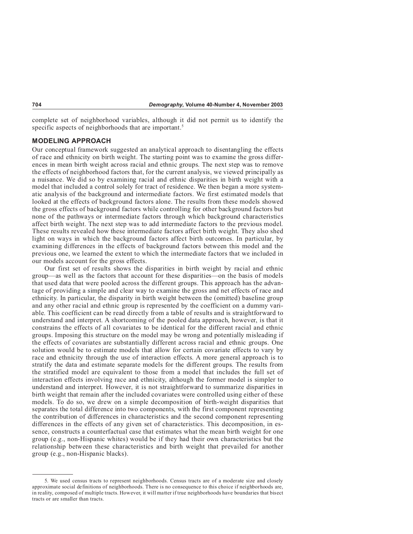complete set of neighborhood variables, although it did not permit us to identify the specific aspects of neighborhoods that are important.<sup>5</sup>

#### **MODELING APPROACH**

Our conceptual framework suggested an analytical approach to disentangling the effects of race and ethnicity on birth weight. The starting point was to examine the gross differences in mean birth weight across racial and ethnic groups. The next step was to remove the effects of neighborhood factors that, for the current analysis, we viewed principally as a nuisance. We did so by examining racial and ethnic disparities in birth weight with a model that included a control solely for tract of residence. We then began a more systematic analysis of the background and intermediate factors. We first estimated models that looked at the effects of background factors alone. The results from these models showed the gross effects of background factors while controlling for other background factors but none of the pathways or intermediate factors through which background characteristics affect birth weight. The next step was to add intermediate factors to the previous model. These results revealed how these intermediate factors affect birth weight. They also shed light on ways in which the background factors affect birth outcomes. In particular, by examining differences in the effects of background factors between this model and the previous one, we learned the extent to which the intermediate factors that we included in our models account for the gross effects.

Our first set of results shows the disparities in birth weight by racial and ethnic group—as well as the factors that account for these disparities—on the basis of models that used data that were pooled across the different groups. This approach has the advantage of providing a simple and clear way to examine the gross and net effects of race and ethnicity. In particular, the disparity in birth weight between the (omitted) baseline group and any other racial and ethnic group is represented by the coefficient on a dummy variable. This coefficient can be read directly from a table of results and is straightforward to understand and interpret. A shortcoming of the pooled data approach, however, is that it constrains the effects of all covariates to be identical for the different racial and ethnic groups. Imposing this structure on the model may be wrong and potentially misleading if the effects of covariates are substantially different across racial and ethnic groups. One solution would be to estimate models that allow for certain covariate effects to vary by race and ethnicity through the use of interaction effects. A more general approach is to stratify the data and estimate separate models for the different groups. The results from the stratified model are equivalent to those from a model that includes the full set of interaction effects involving race and ethnicity, although the former model is simpler to understand and interpret. However, it is not straightforward to summarize disparities in birth weight that remain after the included covariates were controlled using either of these models. To do so, we drew on a simple decomposition of birth-weight disparities that separates the total difference into two components, with the first component representing the contribution of differences in characteristics and the second component representing differences in the effects of any given set of characteristics. This decomposition, in essence, constructs a counterfactual case that estimates what the mean birth weight for one group (e.g., non-Hispanic whites) would be if they had their own characteristics but the relationship between these characteristics and birth weight that prevailed for another group (e.g., non-Hispanic blacks).

<sup>5.</sup> We used census tracts to represent neighborhoods. Census tracts are of a moderate size and closely approximate social definitions of neighborhoods. There is no consequence to this choice if neighborhoods are, in reality, composed of multiple tracts. However, it will matter if true neighborhoods have boundaries that bisect tracts or are smaller than tracts.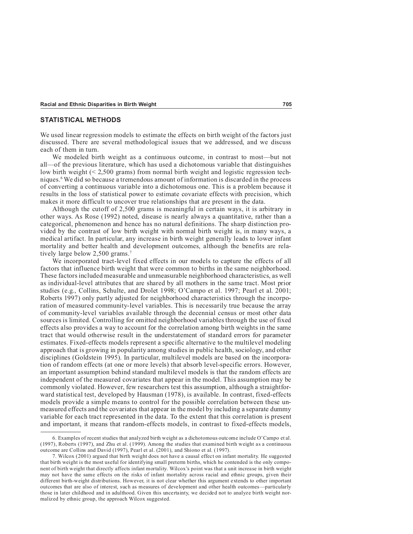#### **STATISTICAL METHODS**

We used linear regression models to estimate the effects on birth weight of the factors just discussed. There are several methodological issues that we addressed, and we discuss each of them in turn.

We modeled birth weight as a continuous outcome, in contrast to most—but not all—of the previous literature, which has used a dichotomous variable that distinguishes low birth weight  $(< 2,500$  grams) from normal birth weight and logistic regression techniques.6 We did so because a tremendous amount of information is discarded in the process of converting a continuous variable into a dichotomous one. This is a problem because it results in the loss of statistical power to estimate covariate effects with precision, which makes it more difficult to uncover true relationships that are present in the data.

Although the cutoff of 2,500 grams is meaningful in certain ways, it is arbitrary in other ways. As Rose (1992) noted, disease is nearly always a quantitative, rather than a categorical, phenomenon and hence has no natural definitions. The sharp distinction provided by the contrast of low birth weight with normal birth weight is, in many ways, a medical artifact. In particular, any increase in birth weight generally leads to lower infant mortality and better health and development outcomes, although the benefits are relatively large below 2,500 grams.<sup>7</sup>

We incorporated tract-level fixed effects in our models to capture the effects of all factors that influence birth weight that were common to births in the same neighborhood. These factors included measurable and unmeasurable neighborhood characteristics, as well as individual-level attributes that are shared by all mothers in the same tract. Most prior studies (e.g., Collins, Schulte, and Drolet 1998; O'Campo et al. 1997; Pearl et al. 2001; Roberts 1997) only partly adjusted for neighborhood characteristics through the incorporation of measured community-level variables. This is necessarily true because the array of community-level variables available through the decennial census or most other data sources is limited. Controlling for omitted neighborhood variables through the use of fixed effects also provides a way to account for the correlation among birth weights in the same tract that would otherwise result in the understatement of standard errors for parameter estimates. Fixed-effects models represent a specific alternative to the multilevel modeling approach that is growing in popularity among studies in public health, sociology, and other disciplines (Goldstein 1995). In particular, multilevel models are based on the incorporation of random effects (at one or more levels) that absorb level-specific errors. However, an important assumption behind standard multilevel models is that the random effects are independent of the measured covariates that appear in the model. This assumption may be commonly violated. However, few researchers test this assumption, although a straightforward statistical test, developed by Hausman (1978), is available. In contrast, fixed-effects models provide a simple means to control for the possible correlation between these unmeasured effects and the covariates that appear in the model by including a separate dummy variable for each tract represented in the data. To the extent that this correlation is present and important, it means that random-effects models, in contrast to fixed-effects models,

<sup>6.</sup> Examples of recent studies that analyzed birth weight as a dichotomous outcome include O'Campo et al. (1997), Roberts (1997), and Zhu et al. (1999). Among the studies that examined birth weight as a continuous outcome are Collins and David (1997), Pearl et al. (2001), and Shiono et al. (1997).

<sup>7.</sup> Wilcox (2001) argued that birth weight does not have a causal effect on infant mortality. He suggested that birth weight is the most useful for identifying small preterm births, which he contended is the only component of birth weight that directly affects infant mortality. Wilcox's point was that a unit increase in birth weight may not have the same effects on the risks of infant mortality across racial and ethnic groups, given their different birth-weight distributions. However, it is not clear whether this argument extends to other important outcomes that are also of interest, such as measures of development and other health outcomes—particularly those in later childhood and in adulthood. Given this uncertainty, we decided not to analyze birth weight normalized by ethnic group, the approach Wilcox suggested.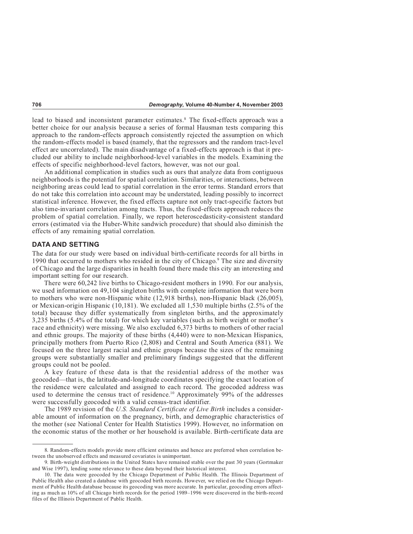lead to biased and inconsistent parameter estimates.<sup>8</sup> The fixed-effects approach was a better choice for our analysis because a series of formal Hausman tests comparing this approach to the random-effects approach consistently rejected the assumption on which the random-effects model is based (namely, that the regressors and the random tract-level effect are uncorrelated). The main disadvantage of a fixed-effects approach is that it precluded our ability to include neighborhood-level variables in the models. Examining the effects of specific neighborhood-level factors, however, was not our goal.

An additional complication in studies such as ours that analyze data from contiguous neighborhoods is the potential for spatial correlation. Similarities, or interactions, between neighboring areas could lead to spatial correlation in the error terms. Standard errors that do not take this correlation into account may be understated, leading possibly to incorrect statistical inference. However, the fixed effects capture not only tract-specific factors but also time-invariant correlation among tracts. Thus, the fixed-effects approach reduces the problem of spatial correlation. Finally, we report heteroscedasticity-consistent standard errors (estimated via the Huber-White sandwich procedure) that should also diminish the effects of any remaining spatial correlation.

#### **DATA AND SETTING**

The data for our study were based on individual birth-certificate records for all births in 1990 that occurred to mothers who resided in the city of Chicago.<sup>9</sup> The size and diversity of Chicago and the large disparities in health found there made this city an interesting and important setting for our research.

There were 60,242 live births to Chicago-resident mothers in 1990. For our analysis, we used information on 49,104 singleton births with complete information that were born to mothers who were non-Hispanic white (12,918 births), non-Hispanic black (26,005), or Mexican-origin Hispanic (10,181). We excluded all 1,530 multiple births (2.5% of the total) because they differ systematically from singleton births, and the approximately 3,235 births (5.4% of the total) for which key variables (such as birth weight or mother's race and ethnicity) were missing. We also excluded 6,373 births to mothers of other racial and ethnic groups. The majority of these births (4,440) were to non-Mexican Hispanics, principally mothers from Puerto Rico (2,808) and Central and South America (881). We focused on the three largest racial and ethnic groups because the sizes of the remaining groups were substantially smaller and preliminary findings suggested that the different groups could not be pooled.

A key feature of these data is that the residential address of the mother was geocoded—that is, the latitude-and-longitude coordinates specifying the exact location of the residence were calculated and assigned to each record. The geocoded address was used to determine the census tract of residence.10 Approximately 99% of the addresses were successfully geocoded with a valid census-tract identifier.

The 1989 revision of the *U.S. Standard Certificate of Live Birth* includes a considerable amount of information on the pregnancy, birth, and demographic characteristics of the mother (see National Center for Health Statistics 1999). However, no information on the economic status of the mother or her household is available. Birth-certificate data are

<sup>8.</sup> Random-effects models provide more efficient estimates and hence are preferred when correlation between the unobserved effects and measured covariates is unimportant.

<sup>9.</sup> Birth-weight distributions in the United States have remained stable over the past 30 years (Gortmaker and Wise 1997), lending some relevance to these data beyond their historical interest.

<sup>10.</sup> The data were geocoded by the Chicago Department of Public Health. The Illinois Department of Public Health also created a database with geocoded birth records. However, we relied on the Chicago Department of Public Health database because its geocoding was more accurate. In particular, geocoding errors affecting as much as 10% of all Chicago birth records for the period 1989–1996 were discovered in the birth-record files of the Illinois Department of Public Health.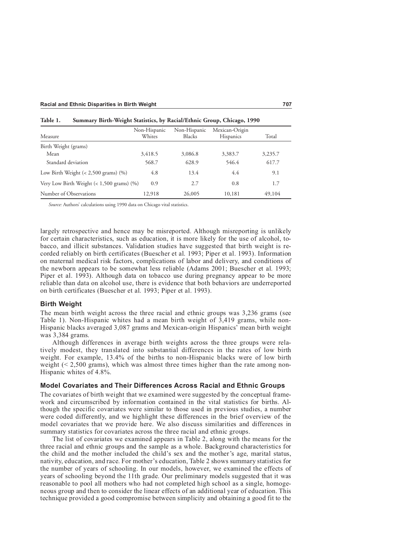| Measure                                        | Non-Hispanic<br>Whites | Non-Hispanic<br><b>Blacks</b> | Mexican-Origin<br><b>Hispanics</b> | Total   |
|------------------------------------------------|------------------------|-------------------------------|------------------------------------|---------|
| Birth Weight (grams)                           |                        |                               |                                    |         |
| Mean                                           | 3,418.5                | 3,086.8                       | 3,383.7                            | 3,235.7 |
| Standard deviation                             | 568.7                  | 628.9                         | 546.4                              | 617.7   |
| Low Birth Weight $(< 2,500$ grams) $(\%)$      | 4.8                    | 13.4                          | 4.4                                | 9.1     |
| Very Low Birth Weight $(< 1,500$ grams) $(\%)$ | 0.9                    | 2.7                           | 0.8                                | 1.7     |
| Number of Observations                         | 12.918                 | 26,005                        | 10.181                             | 49,104  |

| Summary Birth-Weight Statistics, by Racial/Ethnic Group, Chicago, 1990 | Table 1. |  |  |  |  |  |
|------------------------------------------------------------------------|----------|--|--|--|--|--|
|------------------------------------------------------------------------|----------|--|--|--|--|--|

*Source:* Authors' calculations using 1990 data on Chicago vital statistics.

largely retrospective and hence may be misreported. Although misreporting is unlikely for certain characteristics, such as education, it is more likely for the use of alcohol, tobacco, and illicit substances. Validation studies have suggested that birth weight is recorded reliably on birth certificates (Buescher et al. 1993; Piper et al. 1993). Information on maternal medical risk factors, complications of labor and delivery, and conditions of the newborn appears to be somewhat less reliable (Adams 2001; Buescher et al. 1993; Piper et al. 1993). Although data on tobacco use during pregnancy appear to be more reliable than data on alcohol use, there is evidence that both behaviors are underreported on birth certificates (Buescher et al. 1993; Piper et al. 1993).

#### **Birth Weight**

The mean birth weight across the three racial and ethnic groups was 3,236 grams (see Table 1). Non-Hispanic whites had a mean birth weight of 3,419 grams, while non-Hispanic blacks averaged 3,087 grams and Mexican-origin Hispanics' mean birth weight was 3,384 grams.

Although differences in average birth weights across the three groups were relatively modest, they translated into substantial differences in the rates of low birth weight. For example, 13.4% of the births to non-Hispanic blacks were of low birth weight  $(< 2,500$  grams), which was almost three times higher than the rate among non-Hispanic whites of 4.8%.

#### **Model Covariates and Their Differences Across Racial and Ethnic Groups**

The covariates of birth weight that we examined were suggested by the conceptual framework and circumscribed by information contained in the vital statistics for births. Although the specific covariates were similar to those used in previous studies, a number were coded differently, and we highlight these differences in the brief overview of the model covariates that we provide here. We also discuss similarities and differences in summary statistics for covariates across the three racial and ethnic groups.

The list of covariates we examined appears in Table 2, along with the means for the three racial and ethnic groups and the sample as a whole. Background characteristics for the child and the mother included the child's sex and the mother's age, marital status, nativity, education, and race. For mother's education, Table 2 shows summary statistics for the number of years of schooling. In our models, however, we examined the effects of years of schooling beyond the 11th grade. Our preliminary models suggested that it was reasonable to pool all mothers who had not completed high school as a single, homogeneous group and then to consider the linear effects of an additional year of education. This technique provided a good compromise between simplicity and obtaining a good fit to the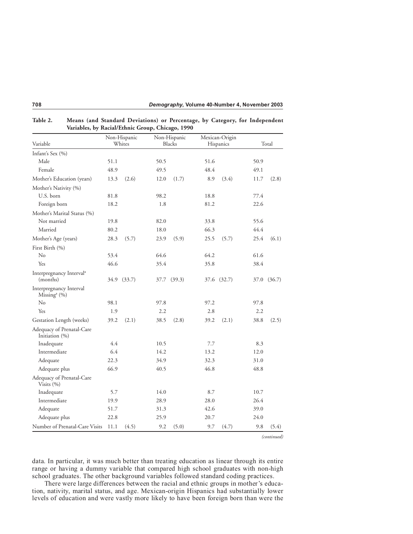|                                                        |        | Non-Hispanic |      | Non-Hispanic |           | Mexican-Origin |      |             |
|--------------------------------------------------------|--------|--------------|------|--------------|-----------|----------------|------|-------------|
| Variable                                               | Whites |              |      | Blacks       | Hispanics |                |      | Total       |
| Infant's Sex (%)                                       |        |              |      |              |           |                |      |             |
| Male                                                   | 51.1   |              | 50.5 |              | 51.6      |                | 50.9 |             |
| Female                                                 | 48.9   |              | 49.5 |              | 48.4      |                | 49.1 |             |
| Mother's Education (years)                             | 13.3   | (2.6)        | 12.0 | (1.7)        | 8.9       | (3.4)          | 11.7 | (2.8)       |
| Mother's Nativity (%)                                  |        |              |      |              |           |                |      |             |
| U.S. born                                              | 81.8   |              | 98.2 |              | 18.8      |                | 77.4 |             |
| Foreign born                                           | 18.2   |              | 1.8  |              | 81.2      |                | 22.6 |             |
| Mother's Marital Status (%)                            |        |              |      |              |           |                |      |             |
| Not married                                            | 19.8   |              | 82.0 |              | 33.8      |                | 55.6 |             |
| Married                                                | 80.2   |              | 18.0 |              | 66.3      |                | 44.4 |             |
| Mother's Age (years)                                   | 28.3   | (5.7)        | 23.9 | (5.9)        | 25.5      | (5.7)          | 25.4 | (6.1)       |
| First Birth (%)                                        |        |              |      |              |           |                |      |             |
| $\rm No$                                               | 53.4   |              | 64.6 |              | 64.2      |                | 61.6 |             |
| Yes                                                    | 46.6   |              | 35.4 |              | 35.8      |                | 38.4 |             |
| Interpregnancy Interval <sup>a</sup><br>(months)       | 34.9   | (33.7)       |      | 37.7 (39.3)  |           | 37.6 (32.7)    |      | 37.0 (36.7) |
| Interpregnancy Interval<br>Missing <sup>a</sup> $(\%)$ |        |              |      |              |           |                |      |             |
| No                                                     | 98.1   |              | 97.8 |              | 97.2      |                | 97.8 |             |
| Yes                                                    | 1.9    |              | 2.2  |              | 2.8       |                | 2.2  |             |
| Gestation Length (weeks)                               | 39.2   | (2.1)        | 38.5 | (2.8)        | 39.2      | (2.1)          | 38.8 | (2.5)       |
| Adequacy of Prenatal-Care<br>Initiation (%)            |        |              |      |              |           |                |      |             |
| Inadequate                                             | 4.4    |              | 10.5 |              | 7.7       |                | 8.3  |             |
| Intermediate                                           | 6.4    |              | 14.2 |              | 13.2      |                | 12.0 |             |
| Adequate                                               | 22.3   |              | 34.9 |              | 32.3      |                | 31.0 |             |
| Adequate plus                                          | 66.9   |              | 40.5 |              | 46.8      |                | 48.8 |             |
| Adequacy of Prenatal-Care<br>Visits $(\% )$            |        |              |      |              |           |                |      |             |
| Inadequate                                             | 5.7    |              | 14.0 |              | 8.7       |                | 10.7 |             |
| Intermediate                                           | 19.9   |              | 28.9 |              | 28.0      |                | 26.4 |             |
| Adequate                                               | 51.7   |              | 31.3 |              | 42.6      |                | 39.0 |             |
| Adequate plus                                          | 22.8   |              | 25.9 |              | 20.7      |                | 24.0 |             |
| Number of Prenatal-Care Visits                         | 11.1   | (4.5)        | 9.2  | (5.0)        | 9.7       | (4.7)          | 9.8  | (5.4)       |

| Table 2. | Means (and Standard Deviations) or Percentage, by Category, for Independent |
|----------|-----------------------------------------------------------------------------|
|          | Variables, by Racial/Ethnic Group, Chicago, 1990                            |

*(continued)*

data. In particular, it was much better than treating education as linear through its entire range or having a dummy variable that compared high school graduates with non-high school graduates. The other background variables followed standard coding practices.

There were large differences between the racial and ethnic groups in mother's education, nativity, marital status, and age. Mexican-origin Hispanics had substantially lower levels of education and were vastly more likely to have been foreign born than were the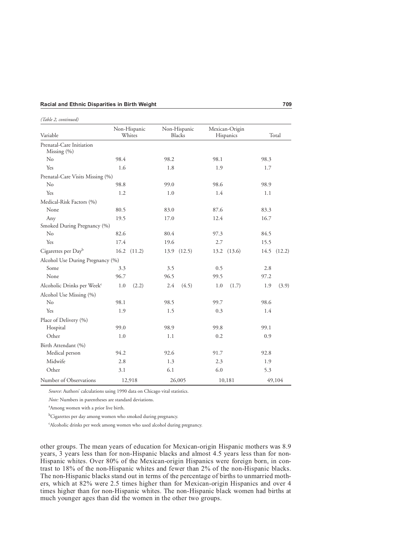| <b>Racial and Ethnic Disparities in Birth Weight</b> |  |
|------------------------------------------------------|--|
|                                                      |  |

| Variable                                    | Non-Hispanic<br>Whites | Non-Hispanic<br><b>Blacks</b> | Mexican-Origin<br>Hispanics | Total        |  |
|---------------------------------------------|------------------------|-------------------------------|-----------------------------|--------------|--|
| Prenatal-Care Initiation<br>Missing $(\% )$ |                        |                               |                             |              |  |
| N <sub>o</sub>                              | 98.4                   | 98.2                          | 98.1                        | 98.3         |  |
| Yes                                         | 1.6                    | 1.8                           | 1.9                         | 1.7          |  |
| Prenatal-Care Visits Missing (%)            |                        |                               |                             |              |  |
| No                                          | 98.8                   | 99.0                          | 98.6                        | 98.9         |  |
| Yes                                         | 1.2                    | 1.0                           | 1.4                         | 1.1          |  |
| Medical-Risk Factors (%)                    |                        |                               |                             |              |  |
| None                                        | 80.5                   | 83.0                          | 87.6                        | 83.3         |  |
| Any                                         | 19.5                   | 17.0                          | 12.4                        | 16.7         |  |
| Smoked During Pregnancy (%)                 |                        |                               |                             |              |  |
| No                                          | 82.6                   | 80.4                          | 97.3                        | 84.5         |  |
| Yes                                         | 17.4                   | 19.6                          | 2.7                         | 15.5         |  |
| Cigarettes per Day <sup>b</sup>             | 16.2<br>(11.2)         | 13.9(12.5)                    | 13.2 (13.6)                 | 14.5 (12.2)  |  |
| Alcohol Use During Pregnancy (%)            |                        |                               |                             |              |  |
| Some                                        | 3.3                    | 3.5                           | 0.5                         | 2.8          |  |
| None                                        | 96.7                   | 96.5                          | 99.5                        | 97.2         |  |
| Alcoholic Drinks per Week <sup>c</sup>      | 1.0<br>(2.2)           | (4.5)<br>2.4                  | 1.0<br>(1.7)                | 1.9<br>(3.9) |  |
| Alcohol Use Missing (%)                     |                        |                               |                             |              |  |
| No                                          | 98.1                   | 98.5                          | 99.7                        | 98.6         |  |
| Yes                                         | 1.9                    | 1.5                           | 0.3                         | 1.4          |  |
| Place of Delivery (%)                       |                        |                               |                             |              |  |
| Hospital                                    | 99.0                   | 98.9                          | 99.8                        | 99.1         |  |
| Other                                       | 1.0                    | 1.1                           | 0.2                         | 0.9          |  |
| Birth Attendant (%)                         |                        |                               |                             |              |  |
| Medical person                              | 94.2                   | 92.6                          | 91.7                        | 92.8         |  |
| Midwife                                     | 2.8                    | 1.3                           | 2.3                         | 1.9          |  |
| Other                                       | 3.1                    | 6.1                           | 6.0                         | 5.3          |  |
| Number of Observations                      | 12,918                 | 26,005                        | 10,181                      | 49,104       |  |

*(Table 2, continued)*

*Source*: Authors' calculations using 1990 data on Chicago vital statistics.

*Note:* Numbers in parentheses are standard deviations.

a Among women with a prior live birth.

<sup>b</sup>Cigarettes per day among women who smoked during pregnancy.

c Alcoholic drinks per week among women who used alcohol during pregnancy.

other groups. The mean years of education for Mexican-origin Hispanic mothers was 8.9 years, 3 years less than for non-Hispanic blacks and almost 4.5 years less than for non-Hispanic whites. Over 80% of the Mexican-origin Hispanics were foreign born, in contrast to 18% of the non-Hispanic whites and fewer than 2% of the non-Hispanic blacks. The non-Hispanic blacks stand out in terms of the percentage of births to unmarried mothers, which at 82% were 2.5 times higher than for Mexican-origin Hispanics and over 4 times higher than for non-Hispanic whites. The non-Hispanic black women had births at much younger ages than did the women in the other two groups.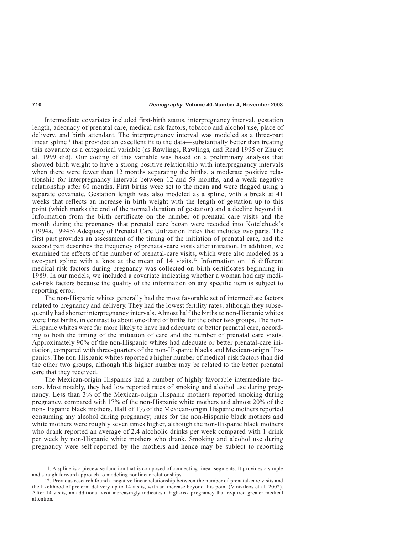Intermediate covariates included first-birth status, interpregnancy interval, gestation length, adequacy of prenatal care, medical risk factors, tobacco and alcohol use, place of delivery, and birth attendant. The interpregnancy interval was modeled as a three-part linear spline<sup>11</sup> that provided an excellent fit to the data—substantially better than treating this covariate as a categorical variable (as Rawlings, Rawlings, and Read 1995 or Zhu et al. 1999 did). Our coding of this variable was based on a preliminary analysis that showed birth weight to have a strong positive relationship with interpregnancy intervals when there were fewer than 12 months separating the births, a moderate positive relationship for interpregnancy intervals between 12 and 59 months, and a weak negative relationship after 60 months. First births were set to the mean and were flagged using a separate covariate. Gestation length was also modeled as a spline, with a break at 41 weeks that reflects an increase in birth weight with the length of gestation up to this point (which marks the end of the normal duration of gestation) and a decline beyond it. Information from the birth certificate on the number of prenatal care visits and the month during the pregnancy that prenatal care began were recoded into Kotelchuck's (1994a, 1994b) Adequacy of Prenatal Care Utilization Index that includes two parts. The first part provides an assessment of the timing of the initiation of prenatal care, and the second part describes the frequency of prenatal-care visits after initiation. In addition, we examined the effects of the number of prenatal-care visits, which were also modeled as a two-part spline with a knot at the mean of  $14$  visits.<sup>12</sup> Information on 16 different medical-risk factors during pregnancy was collected on birth certificates beginning in 1989. In our models, we included a covariate indicating whether a woman had any medical-risk factors because the quality of the information on any specific item is subject to reporting error.

The non-Hispanic whites generally had the most favorable set of intermediate factors related to pregnancy and delivery. They had the lowest fertility rates, although they subsequently had shorter interpregnancy intervals. Almost half the births to non-Hispanic whites were first births, in contrast to about one-third of births for the other two groups. The non-Hispanic whites were far more likely to have had adequate or better prenatal care, according to both the timing of the initiation of care and the number of prenatal care visits. Approximately 90% of the non-Hispanic whites had adequate or better prenatal-care initiation, compared with three-quarters of the non-Hispanic blacks and Mexican-origin Hispanics. The non-Hispanic whites reported a higher number of medical-risk factors than did the other two groups, although this higher number may be related to the better prenatal care that they received.

The Mexican-origin Hispanics had a number of highly favorable intermediate factors. Most notably, they had low reported rates of smoking and alcohol use during pregnancy. Less than 3% of the Mexican-origin Hispanic mothers reported smoking during pregnancy, compared with 17% of the non-Hispanic white mothers and almost 20% of the non-Hispanic black mothers. Half of 1% of the Mexican-origin Hispanic mothers reported consuming any alcohol during pregnancy; rates for the non-Hispanic black mothers and white mothers were roughly seven times higher, although the non-Hispanic black mothers who drank reported an average of 2.4 alcoholic drinks per week compared with 1 drink per week by non-Hispanic white mothers who drank. Smoking and alcohol use during pregnancy were self-reported by the mothers and hence may be subject to reporting

<sup>11.</sup> A spline is a piecewise function that is composed of connecting linear segments. It provides a simple and straightforward approach to modeling nonlinear relationships.

<sup>12.</sup> Previous research found a negative linear relationship between the number of prenatal-care visits and the likelihood of preterm delivery up to 14 visits, with an increase beyond this point (Vintzileos et al. 2002). After 14 visits, an additional visit increasingly indicates a high-risk pregnancy that required greater medical attention.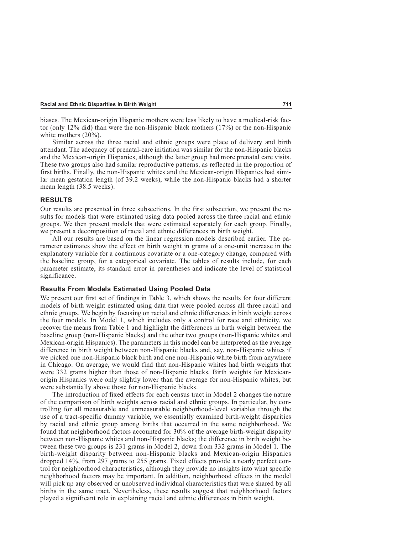biases. The Mexican-origin Hispanic mothers were less likely to have a medical-risk factor (only 12% did) than were the non-Hispanic black mothers (17%) or the non-Hispanic white mothers (20%).

Similar across the three racial and ethnic groups were place of delivery and birth attendant. The adequacy of prenatal-care initiation was similar for the non-Hispanic blacks and the Mexican-origin Hispanics, although the latter group had more prenatal care visits. These two groups also had similar reproductive patterns, as reflected in the proportion of first births. Finally, the non-Hispanic whites and the Mexican-origin Hispanics had similar mean gestation length (of 39.2 weeks), while the non-Hispanic blacks had a shorter mean length (38.5 weeks).

#### **RESULTS**

Our results are presented in three subsections. In the first subsection, we present the results for models that were estimated using data pooled across the three racial and ethnic groups. We then present models that were estimated separately for each group. Finally, we present a decomposition of racial and ethnic differences in birth weight.

All our results are based on the linear regression models described earlier. The parameter estimates show the effect on birth weight in grams of a one-unit increase in the explanatory variable for a continuous covariate or a one-category change, compared with the baseline group, for a categorical covariate. The tables of results include, for each parameter estimate, its standard error in parentheses and indicate the level of statistical significance.

#### **Results From Models Estimated Using Pooled Data**

We present our first set of findings in Table 3, which shows the results for four different models of birth weight estimated using data that were pooled across all three racial and ethnic groups. We begin by focusing on racial and ethnic differences in birth weight across the four models. In Model 1, which includes only a control for race and ethnicity, we recover the means from Table 1 and highlight the differences in birth weight between the baseline group (non-Hispanic blacks) and the other two groups (non-Hispanic whites and Mexican-origin Hispanics). The parameters in this model can be interpreted as the average difference in birth weight between non-Hispanic blacks and, say, non-Hispanic whites if we picked one non-Hispanic black birth and one non-Hispanic white birth from anywhere in Chicago. On average, we would find that non-Hispanic whites had birth weights that were 332 grams higher than those of non-Hispanic blacks. Birth weights for Mexicanorigin Hispanics were only slightly lower than the average for non-Hispanic whites, but were substantially above those for non-Hispanic blacks.

The introduction of fixed effects for each census tract in Model 2 changes the nature of the comparison of birth weights across racial and ethnic groups. In particular, by controlling for all measurable and unmeasurable neighborhood-level variables through the use of a tract-specific dummy variable, we essentially examined birth-weight disparities by racial and ethnic group among births that occurred in the same neighborhood. We found that neighborhood factors accounted for 30% of the average birth-weight disparity between non-Hispanic whites and non-Hispanic blacks; the difference in birth weight between these two groups is 231 grams in Model 2, down from 332 grams in Model 1. The birth-weight disparity between non-Hispanic blacks and Mexican-origin Hispanics dropped 14%, from 297 grams to 255 grams. Fixed effects provide a nearly perfect control for neighborhood characteristics, although they provide no insights into what specific neighborhood factors may be important. In addition, neighborhood effects in the model will pick up any observed or unobserved individual characteristics that were shared by all births in the same tract. Nevertheless, these results suggest that neighborhood factors played a significant role in explaining racial and ethnic differences in birth weight.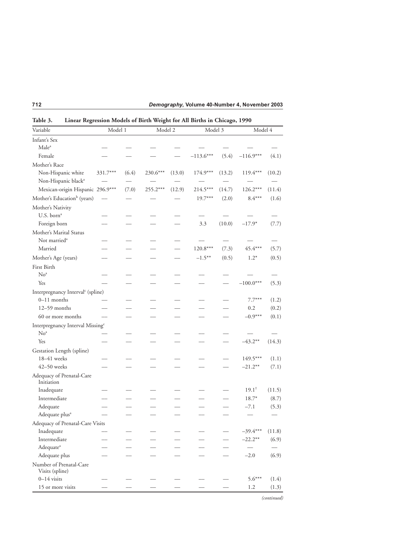| Variable                                      | Model 1  |       |            | Model 2 |             | Model 3 | Model 4          |        |
|-----------------------------------------------|----------|-------|------------|---------|-------------|---------|------------------|--------|
| Infant's Sex                                  |          |       |            |         |             |         |                  |        |
| Male <sup>a</sup>                             |          |       |            |         |             |         |                  |        |
| Female                                        |          |       |            |         | $-113.6***$ | (5.4)   | $-116.9***$      | (4.1)  |
| Mother's Race                                 |          |       |            |         |             |         |                  |        |
| Non-Hispanic white                            | 331.7*** | (6.4) | $230.6***$ | (13.0)  | 174.9***    | (13.2)  | 119.4***         | (10.2) |
| Non-Hispanic black <sup>a</sup>               |          |       |            |         |             |         |                  |        |
| Mexican-origin Hispanic 296.9***              |          | (7.0) | 255.2***   | (12.9)  | 214.5***    | (14.7)  | $126.2***$       | (11.4) |
| Mother's Education <sup>b</sup> (years)       |          |       |            |         | $19.7***$   | (2.0)   | $8.4***$         | (1.6)  |
| Mother's Nativity                             |          |       |            |         |             |         |                  |        |
| U.S. born <sup>a</sup>                        |          |       |            |         |             |         |                  |        |
| Foreign born                                  |          |       |            |         | 3.3         | (10.0)  | $-17.9*$         | (7.7)  |
| Mother's Marital Status                       |          |       |            |         |             |         |                  |        |
| Not married <sup>a</sup>                      |          |       |            |         |             |         |                  |        |
| Married                                       |          |       |            |         | 120.8***    | (7.3)   | 45.4***          | (5.7)  |
| Mother's Age (years)                          |          |       |            |         | $-1.5***$   | (0.5)   | $1.2*$           | (0.5)  |
| First Birth                                   |          |       |            |         |             |         |                  |        |
| No <sup>a</sup>                               |          |       |            |         |             |         |                  |        |
| Yes                                           |          |       |            |         |             |         | $-100.0***$      | (5.3)  |
| Interpregnancy Interval <sup>c</sup> (spline) |          |       |            |         |             |         |                  |        |
| $0-11$ months                                 |          |       |            |         |             |         | $7.7***$         | (1.2)  |
| 12-59 months                                  |          |       |            |         |             |         | 0.2              | (0.2)  |
| 60 or more months                             |          |       |            |         |             |         | $-0.9***$        | (0.1)  |
| Interpregnancy Interval Missing <sup>c</sup>  |          |       |            |         |             |         |                  |        |
| No <sup>a</sup>                               |          |       |            |         |             |         |                  |        |
| Yes                                           |          |       |            |         |             |         | $-43.2**$        | (14.3) |
| Gestation Length (spline)                     |          |       |            |         |             |         |                  |        |
| 18-41 weeks                                   |          |       |            |         |             |         | $149.5***$       | (1.1)  |
| 42-50 weeks                                   |          |       |            |         |             |         | $-21.2**$        | (7.1)  |
| Adequacy of Prenatal-Care<br>Initiation       |          |       |            |         |             |         |                  |        |
| Inadequate                                    |          |       |            |         |             |         | $19.1^{\dagger}$ | (11.5) |
| Intermediate                                  |          |       |            |         |             |         | $18.7*$          | (8.7)  |
| Adequate                                      |          |       |            |         |             |         | $-7.1$           | (5.3)  |
| Adequate plus <sup>a</sup>                    |          |       |            |         |             |         |                  |        |
| Adequacy of Prenatal-Care Visits              |          |       |            |         |             |         |                  |        |
| Inadequate                                    |          |       |            |         |             |         | $-39.4***$       | (11.8) |
| Intermediate                                  |          |       |            |         |             |         | $-22.2**$        | (6.9)  |
| Adequate <sup>a</sup>                         |          |       |            |         |             |         |                  |        |
| Adequate plus                                 |          |       |            |         |             |         | $-2.0$           | (6.9)  |
| Number of Prenatal-Care<br>Visits (spline)    |          |       |            |         |             |         |                  |        |
| $0 - 14$ visits                               |          |       |            |         |             |         | $5.6***$         | (1.4)  |
| 15 or more visits                             |          |       |            |         |             |         | 1.2              | (1.3)  |

**Table 3. Linear Regression Models of Birth Weight for All Births in Chicago, 1990**

*(continued)*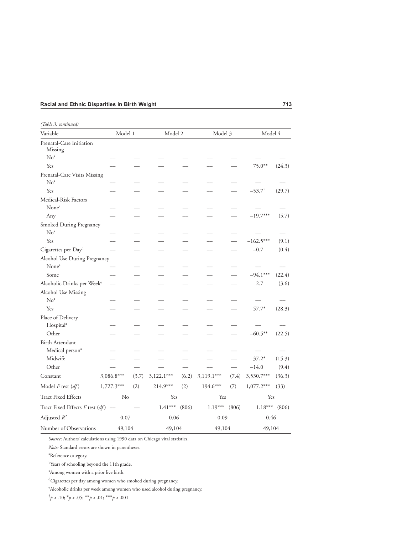| (Table 3, continued) |  |  |
|----------------------|--|--|
|----------------------|--|--|

| Variable                               | Model 1      |       | Model 2      |       | Model 3      |       | Model 4              |        |
|----------------------------------------|--------------|-------|--------------|-------|--------------|-------|----------------------|--------|
| Prenatal-Care Initiation<br>Missing    |              |       |              |       |              |       |                      |        |
| No <sup>a</sup>                        |              |       |              |       |              |       |                      |        |
| Yes                                    |              |       |              |       |              |       | $75.0**$             | (24.3) |
| Prenatal-Care Visits Missing           |              |       |              |       |              |       |                      |        |
| No <sup>a</sup>                        |              |       |              |       |              |       |                      |        |
| Yes                                    |              |       |              |       |              |       | $-53.7$ <sup>†</sup> | (29.7) |
| Medical-Risk Factors                   |              |       |              |       |              |       |                      |        |
| None <sup>a</sup>                      |              |       |              |       |              |       |                      |        |
| Any                                    |              |       |              |       |              |       | $-19.7***$           | (5.7)  |
| Smoked During Pregnancy                |              |       |              |       |              |       |                      |        |
| No <sup>a</sup>                        |              |       |              |       |              |       |                      |        |
| Yes                                    |              |       |              |       |              |       | $-162.5***$          | (9.1)  |
| Cigarettes per Day <sup>d</sup>        |              |       |              |       |              |       | $-0.7$               | (0.4)  |
| Alcohol Use During Pregnancy           |              |       |              |       |              |       |                      |        |
| None <sup>a</sup>                      |              |       |              |       |              |       |                      |        |
| Some                                   |              |       |              |       |              |       | $-94.1***$           | (22.4) |
| Alcoholic Drinks per Week <sup>e</sup> | $\equiv$     |       |              |       |              |       | 2.7                  | (3.6)  |
| Alcohol Use Missing                    |              |       |              |       |              |       |                      |        |
| No <sup>a</sup>                        |              |       |              |       |              |       |                      |        |
| Yes                                    |              |       |              |       |              |       | 57.7*                | (28.3) |
| Place of Delivery                      |              |       |              |       |              |       |                      |        |
| Hospital <sup>a</sup>                  |              |       |              |       |              |       |                      |        |
| Other                                  |              |       |              |       |              |       | $-60.5***$           | (22.5) |
| Birth Attendant                        |              |       |              |       |              |       |                      |        |
| Medical person <sup>a</sup>            |              |       |              |       |              |       |                      |        |
| Midwife                                |              |       |              |       |              |       | $37.2*$              | (15.3) |
| Other                                  |              |       |              |       |              |       | $-14.0$              | (9.4)  |
| Constant                               | $3,086.8***$ | (3.7) | $3,122.1***$ | (6.2) | $3,119.1***$ | (7.4) | 3,530.7***           | (36.3) |
| Model $F$ test $(df)$                  | $1,727.3***$ | (2)   | $214.9***$   | (2)   | 194.6***     | (7)   | $1,077.2***$         | (33)   |
| <b>Tract Fixed Effects</b>             | No           |       | Yes          |       | Yes          |       | Yes                  |        |
| Tract Fixed Effects $F$ test $(df)$    |              |       | $1.41***$    | (806) | $1.19***$    | (806) | $1.18^{***}\,$       | (806)  |
| Adjusted $R^2$                         | 0.07         |       | 0.06         |       | 0.09         |       | 0.46                 |        |
| Number of Observations                 | 49,104       |       | 49,104       |       | 49,104       |       | 49,104               |        |

*Source*: Authors' calculations using 1990 data on Chicago vital statistics.

*Note:* Standard errors are shown in parentheses.

a Reference category.

<sup>b</sup>Years of schooling beyond the 11th grade.

c Among women with a prior live birth.

<sup>d</sup>Cigarettes per day among women who smoked during pregnancy.

e Alcoholic drinks per week among women who used alcohol during pregnancy.

 $\phi^{\dagger} p < .10; \phi^* p < .05; \phi^* p < .01; \phi^* \phi^* p < .001$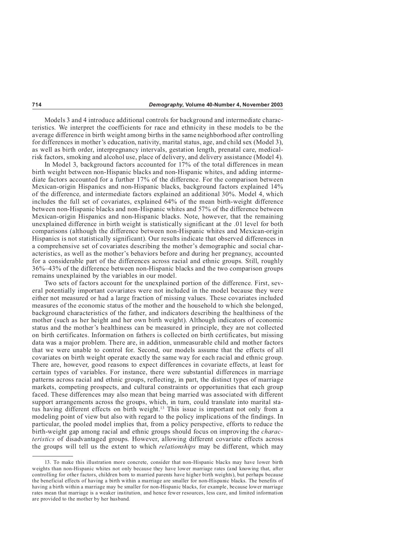Models 3 and 4 introduce additional controls for background and intermediate characteristics. We interpret the coefficients for race and ethnicity in these models to be the average difference in birth weight among births in the same neighborhood after controlling for differences in mother's education, nativity, marital status, age, and child sex (Model 3), as well as birth order, interpregnancy intervals, gestation length, prenatal care, medicalrisk factors, smoking and alcohol use, place of delivery, and delivery assistance (Model 4).

In Model 3, background factors accounted for 17% of the total differences in mean birth weight between non-Hispanic blacks and non-Hispanic whites, and adding intermediate factors accounted for a further 17% of the difference. For the comparison between Mexican-origin Hispanics and non-Hispanic blacks, background factors explained 14% of the difference, and intermediate factors explained an additional 30%. Model 4, which includes the full set of covariates, explained 64% of the mean birth-weight difference between non-Hispanic blacks and non-Hispanic whites and 57% of the difference between Mexican-origin Hispanics and non-Hispanic blacks. Note, however, that the remaining unexplained difference in birth weight is statistically significant at the .01 level for both comparisons (although the difference between non-Hispanic whites and Mexican-origin Hispanics is not statistically significant). Our results indicate that observed differences in a comprehensive set of covariates describing the mother's demographic and social characteristics, as well as the mother's behaviors before and during her pregnancy, accounted for a considerable part of the differences across racial and ethnic groups. Still, roughly 36%–43% of the difference between non-Hispanic blacks and the two comparison groups remains unexplained by the variables in our model.

Two sets of factors account for the unexplained portion of the difference. First, several potentially important covariates were not included in the model because they were either not measured or had a large fraction of missing values. These covariates included measures of the economic status of the mother and the household to which she belonged, background characteristics of the father, and indicators describing the healthiness of the mother (such as her height and her own birth weight). Although indicators of economic status and the mother's healthiness can be measured in principle, they are not collected on birth certificates. Information on fathers is collected on birth certificates, but missing data was a major problem. There are, in addition, unmeasurable child and mother factors that we were unable to control for. Second, our models assume that the effects of all covariates on birth weight operate exactly the same way for each racial and ethnic group. There are, however, good reasons to expect differences in covariate effects, at least for certain types of variables. For instance, there were substantial differences in marriage patterns across racial and ethnic groups, reflecting, in part, the distinct types of marriage markets, competing prospects, and cultural constraints or opportunities that each group faced. These differences may also mean that being married was associated with different support arrangements across the groups, which, in turn, could translate into marital status having different effects on birth weight.<sup>13</sup> This issue is important not only from a modeling point of view but also with regard to the policy implications of the findings. In particular, the pooled model implies that, from a policy perspective, efforts to reduce the birth-weight gap among racial and ethnic groups should focus on improving the *characteristics* of disadvantaged groups. However, allowing different covariate effects across the groups will tell us the extent to which *relationships* may be different, which may

<sup>13.</sup> To make this illustration more concrete, consider that non-Hispanic blacks may have lower birth weights than non-Hispanic whites not only because they have lower marriage rates (and knowing that, after controlling for other factors, children born to married parents have higher birth weights), but perhaps because the beneficial effects of having a birth within a marriage are smaller for non-Hispanic blacks. The benefits of having a birth within a marriage may be smaller for non-Hispanic blacks, for example, because lower marriage rates mean that marriage is a weaker institution, and hence fewer resources, less care, and limited information are provided to the mother by her husband.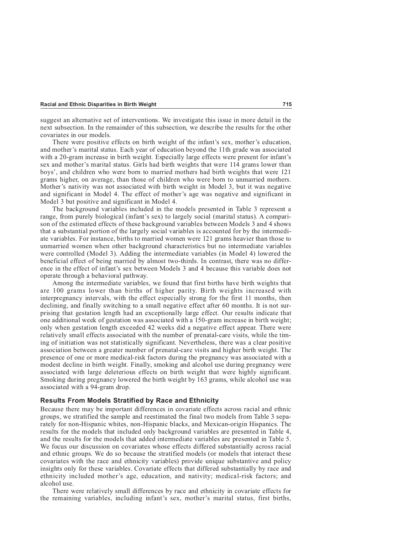suggest an alternative set of interventions. We investigate this issue in more detail in the next subsection. In the remainder of this subsection, we describe the results for the other covariates in our models.

There were positive effects on birth weight of the infant's sex, mother's education, and mother's marital status. Each year of education beyond the 11th grade was associated with a 20-gram increase in birth weight. Especially large effects were present for infant's sex and mother's marital status. Girls had birth weights that were 114 grams lower than boys', and children who were born to married mothers had birth weights that were 121 grams higher, on average, than those of children who were born to unmarried mothers. Mother's nativity was not associated with birth weight in Model 3, but it was negative and significant in Model 4. The effect of mother's age was negative and significant in Model 3 but positive and significant in Model 4.

The background variables included in the models presented in Table 3 represent a range, from purely biological (infant's sex) to largely social (marital status). A comparison of the estimated effects of these background variables between Models 3 and 4 shows that a substantial portion of the largely social variables is accounted for by the intermediate variables. For instance, births to married women were 121 grams heavier than those to unmarried women when other background characteristics but no intermediate variables were controlled (Model 3). Adding the intermediate variables (in Model 4) lowered the beneficial effect of being married by almost two-thirds. In contrast, there was no difference in the effect of infant's sex between Models 3 and 4 because this variable does not operate through a behavioral pathway.

Among the intermediate variables, we found that first births have birth weights that are 100 grams lower than births of higher parity. Birth weights increased with interpregnancy intervals, with the effect especially strong for the first 11 months, then declining, and finally switching to a small negative effect after 60 months. It is not surprising that gestation length had an exceptionally large effect. Our results indicate that one additional week of gestation was associated with a 150-gram increase in birth weight; only when gestation length exceeded 42 weeks did a negative effect appear. There were relatively small effects associated with the number of prenatal-care visits, while the timing of initiation was not statistically significant. Nevertheless, there was a clear positive association between a greater number of prenatal-care visits and higher birth weight. The presence of one or more medical-risk factors during the pregnancy was associated with a modest decline in birth weight. Finally, smoking and alcohol use during pregnancy were associated with large deleterious effects on birth weight that were highly significant. Smoking during pregnancy lowered the birth weight by 163 grams, while alcohol use was associated with a 94-gram drop.

#### **Results From Models Stratified by Race and Ethnicity**

Because there may be important differences in covariate effects across racial and ethnic groups, we stratified the sample and reestimated the final two models from Table 3 separately for non-Hispanic whites, non-Hispanic blacks, and Mexican-origin Hispanics. The results for the models that included only background variables are presented in Table 4, and the results for the models that added intermediate variables are presented in Table 5. We focus our discussion on covariates whose effects differed substantially across racial and ethnic groups. We do so because the stratified models (or models that interact these covariates with the race and ethnicity variables) provide unique substantive and policy insights only for these variables. Covariate effects that differed substantially by race and ethnicity included mother's age, education, and nativity; medical-risk factors; and alcohol use.

There were relatively small differences by race and ethnicity in covariate effects for the remaining variables, including infant's sex, mother's marital status, first births,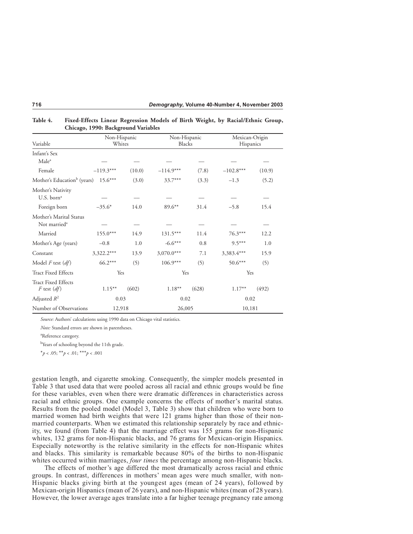| Variable                                      | Non-Hispanic<br>Whites |        | Non-Hispanic<br>Blacks |        | Mexican-Origin<br>Hispanics |        |  |  |  |  |
|-----------------------------------------------|------------------------|--------|------------------------|--------|-----------------------------|--------|--|--|--|--|
|                                               |                        |        |                        |        |                             |        |  |  |  |  |
| Infant's Sex                                  |                        |        |                        |        |                             |        |  |  |  |  |
| Male <sup>a</sup>                             |                        |        |                        |        |                             |        |  |  |  |  |
| Female                                        | $-119.3***$            | (10.0) | $-114.9***$            | (7.8)  | $-102.8***$                 | (10.9) |  |  |  |  |
| Mother's Education <sup>b</sup> (years)       | $15.6***$              | (3.0)  | 33.7***                | (3.3)  | $-1.3$                      | (5.2)  |  |  |  |  |
| Mother's Nativity                             |                        |        |                        |        |                             |        |  |  |  |  |
| U.S. born <sup>a</sup>                        |                        |        |                        |        |                             |        |  |  |  |  |
| Foreign born                                  | $-35.6*$               | 14.0   | 89.6**                 | 31.4   | $-5.8$                      | 15.4   |  |  |  |  |
| Mother's Marital Status                       |                        |        |                        |        |                             |        |  |  |  |  |
| Not married <sup>a</sup>                      |                        |        |                        |        |                             |        |  |  |  |  |
| Married                                       | 155.0***               | 14.9   | $131.5***$             | 11.4   | 76.3***                     | 12.2   |  |  |  |  |
| Mother's Age (years)                          | $-0.8$                 | 1.0    | $-6.6***$              | 0.8    | $9.5***$                    | 1.0    |  |  |  |  |
| Constant                                      | 3,322.2***             | 13.9   | $3,070.0***$           | 7.1    | 3,383.4***                  | 15.9   |  |  |  |  |
| Model $F$ test $(df)$                         | 66.2***                | (5)    | $106.9***$             | (5)    | $50.6***$                   | (5)    |  |  |  |  |
| <b>Tract Fixed Effects</b>                    | Yes                    |        |                        | Yes    |                             | Yes    |  |  |  |  |
| <b>Tract Fixed Effects</b><br>$F$ test $(df)$ | $1.15***$              | (602)  | $1.18***$              | (628)  | $1.17***$                   | (492)  |  |  |  |  |
| Adjusted $R^2$                                | 0.03                   |        |                        | 0.02   |                             | 0.02   |  |  |  |  |
| Number of Observations                        | 12,918                 |        |                        | 26,005 |                             | 10,181 |  |  |  |  |

**Table 4. Fixed-Effects Linear Regression Models of Birth Weight, by Racial/Ethnic Group, Chicago, 1990: Background Variables**

*Source:* Authors' calculations using 1990 data on Chicago vital statistics.

*Note:* Standard errors are shown in parentheses.

a Reference category.

<sup>b</sup>Years of schooling beyond the 11th grade.

\**p* < .05; \*\**p* < .01; \*\*\**p* < .001

gestation length, and cigarette smoking. Consequently, the simpler models presented in Table 3 that used data that were pooled across all racial and ethnic groups would be fine for these variables, even when there were dramatic differences in characteristics across racial and ethnic groups. One example concerns the effects of mother's marital status. Results from the pooled model (Model 3, Table 3) show that children who were born to married women had birth weights that were 121 grams higher than those of their nonmarried counterparts. When we estimated this relationship separately by race and ethnicity, we found (from Table 4) that the marriage effect was 155 grams for non-Hispanic whites, 132 grams for non-Hispanic blacks, and 76 grams for Mexican-origin Hispanics. Especially noteworthy is the relative similarity in the effects for non-Hispanic whites and blacks. This similarity is remarkable because 80% of the births to non-Hispanic whites occurred within marriages, *four times* the percentage among non-Hispanic blacks.

The effects of mother's age differed the most dramatically across racial and ethnic groups. In contrast, differences in mothers' mean ages were much smaller, with non-Hispanic blacks giving birth at the youngest ages (mean of 24 years), followed by Mexican-origin Hispanics (mean of 26 years), and non-Hispanic whites (mean of 28 years). However, the lower average ages translate into a far higher teenage pregnancy rate among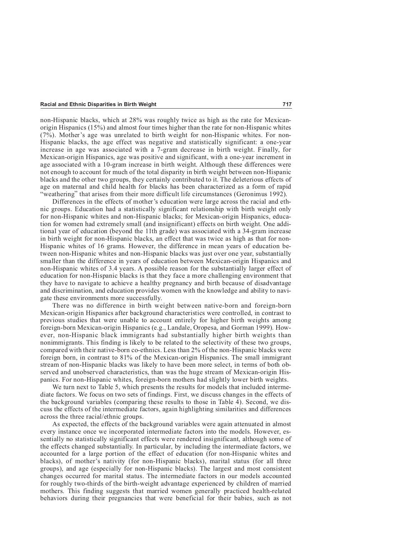non-Hispanic blacks, which at 28% was roughly twice as high as the rate for Mexicanorigin Hispanics (15%) and almost four times higher than the rate for non-Hispanic whites (7%). Mother's age was unrelated to birth weight for non-Hispanic whites. For non-Hispanic blacks, the age effect was negative and statistically significant: a one-year increase in age was associated with a 7-gram decrease in birth weight. Finally, for Mexican-origin Hispanics, age was positive and significant, with a one-year increment in age associated with a 10-gram increase in birth weight. Although these differences were not enough to account for much of the total disparity in birth weight between non-Hispanic blacks and the other two groups, they certainly contributed to it. The deleterious effects of age on maternal and child health for blacks has been characterized as a form of rapid "weathering" that arises from their more difficult life circumstances (Geronimus 1992).

Differences in the effects of mother's education were large across the racial and ethnic groups. Education had a statistically significant relationship with birth weight only for non-Hispanic whites and non-Hispanic blacks; for Mexican-origin Hispanics, education for women had extremely small (and insignificant) effects on birth weight. One additional year of education (beyond the 11th grade) was associated with a 34-gram increase in birth weight for non-Hispanic blacks, an effect that was twice as high as that for non-Hispanic whites of 16 grams. However, the difference in mean years of education between non-Hispanic whites and non-Hispanic blacks was just over one year, substantially smaller than the difference in years of education between Mexican-origin Hispanics and non-Hispanic whites of 3.4 years. A possible reason for the substantially larger effect of education for non-Hispanic blacks is that they face a more challenging environment that they have to navigate to achieve a healthy pregnancy and birth because of disadvantage and discrimination, and education provides women with the knowledge and ability to navigate these environments more successfully.

There was no difference in birth weight between native-born and foreign-born Mexican-origin Hispanics after background characteristics were controlled, in contrast to previous studies that were unable to account entirely for higher birth weights among foreign-born Mexican-origin Hispanics (e.g., Landale, Oropesa, and Gorman 1999). However, non-Hispanic black immigrants had substantially higher birth weights than nonimmigrants. This finding is likely to be related to the selectivity of these two groups, compared with their native-born co-ethnics. Less than 2% of the non-Hispanic blacks were foreign born, in contrast to 81% of the Mexican-origin Hispanics. The small immigrant stream of non-Hispanic blacks was likely to have been more select, in terms of both observed and unobserved characteristics, than was the huge stream of Mexican-origin Hispanics. For non-Hispanic whites, foreign-born mothers had slightly lower birth weights.

We turn next to Table 5, which presents the results for models that included intermediate factors. We focus on two sets of findings. First, we discuss changes in the effects of the background variables (comparing these results to those in Table 4). Second, we discuss the effects of the intermediate factors, again highlighting similarities and differences across the three racial/ethnic groups.

As expected, the effects of the background variables were again attenuated in almost every instance once we incorporated intermediate factors into the models. However, essentially no statistically significant effects were rendered insignificant, although some of the effects changed substantially. In particular, by including the intermediate factors, we accounted for a large portion of the effect of education (for non-Hispanic whites and blacks), of mother's nativity (for non-Hispanic blacks), marital status (for all three groups), and age (especially for non-Hispanic blacks). The largest and most consistent changes occurred for marital status. The intermediate factors in our models accounted for roughly two-thirds of the birth-weight advantage experienced by children of married mothers. This finding suggests that married women generally practiced health-related behaviors during their pregnancies that were beneficial for their babies, such as not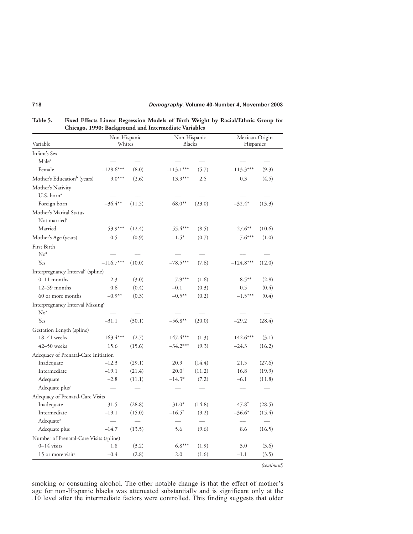| Variable                                                        | Non-Hispanic<br>Whites |                          | Non-Hispanic<br>Blacks |                          | Mexican-Origin<br>Hispanics |        |
|-----------------------------------------------------------------|------------------------|--------------------------|------------------------|--------------------------|-----------------------------|--------|
| Infant's Sex                                                    |                        |                          |                        |                          |                             |        |
| Male <sup>a</sup>                                               |                        |                          |                        |                          |                             |        |
| Female                                                          | $-128.6***$            | (8.0)                    | $-113.1***$            | (5.7)                    | $-113.3***$                 | (9.3)  |
| Mother's Education <sup>b</sup> (years)                         | $9.0***$               | (2.6)                    | $13.9***$              | 2.5                      | 0.3                         | (4.5)  |
| Mother's Nativity<br>U.S. born <sup>a</sup>                     |                        |                          |                        |                          |                             |        |
| Foreign born                                                    | $-36.4***$             | (11.5)                   | $68.0**$               | (23.0)                   | $-32.4*$                    | (13.3) |
| Mother's Marital Status                                         |                        |                          |                        |                          |                             |        |
| Not married <sup>a</sup>                                        |                        |                          |                        |                          |                             |        |
| Married                                                         | 53.9***                | (12.4)                   | 55.4***                | (8.5)                    | $27.6***$                   | (10.6) |
| Mother's Age (years)                                            | 0.5                    | (0.9)                    | $-1.5*$                | (0.7)                    | $7.6***$                    | (1.0)  |
| First Birth                                                     |                        |                          |                        |                          |                             |        |
| No <sup>a</sup>                                                 |                        |                          |                        |                          |                             |        |
| Yes                                                             | $-116.7***$            | (10.0)                   | $-78.5***$             | (7.6)                    | $-124.8***$                 | (12.0) |
| Interpregnancy Interval <sup>c</sup> (spline)                   |                        |                          |                        |                          |                             |        |
| $0-11$ months                                                   | 2.3                    | (3.0)                    | $7.9***$               | (1.6)                    | $8.5***$                    | (2.8)  |
| $12-59$ months                                                  | 0.6                    | (0.4)                    | $-0.1$                 | (0.3)                    | 0.5                         | (0.4)  |
| 60 or more months                                               | $-0.9**$               | (0.3)                    | $-0.5***$              | (0.2)                    | $-1.5***$                   | (0.4)  |
| Interpregnancy Interval Missing <sup>c</sup><br>No <sup>a</sup> |                        |                          |                        |                          |                             |        |
| Yes                                                             | $-31.1$                | (30.1)                   | $-56.8**$              | (20.0)                   | $-29.2$                     | (28.4) |
| Gestation Length (spline)                                       |                        |                          |                        |                          |                             |        |
| $18-41$ weeks                                                   | $163.4***$             | (2.7)                    | $147.4***$             | (1.3)                    | $142.6***$                  | (3.1)  |
| $42 - 50$ weeks                                                 | 15.6                   | (15.6)                   | $-34.2***$             | (9.3)                    | $-24.3$                     | (16.2) |
| Adequacy of Prenatal-Care Initiation                            |                        |                          |                        |                          |                             |        |
| Inadequate                                                      | $-12.3$                | (29.1)                   | 20.9                   | (14.4)                   | 21.5                        | (27.6) |
| Intermediate                                                    | $-19.1$                | (21.4)                   | $20.0^{\dagger}$       | (11.2)                   | 16.8                        | (19.9) |
| Adequate                                                        | $-2.8$                 | (11.1)                   | $-14.3*$               | (7.2)                    | $-6.1$                      | (11.8) |
| Adequate plus <sup>a</sup>                                      |                        |                          |                        |                          |                             |        |
| Adequacy of Prenatal-Care Visits                                |                        |                          |                        |                          |                             |        |
| Inadequate                                                      | $-31.5$                | (28.8)                   | $-31.0*$               | (14.8)                   | $-47.8^{\dagger}$           | (28.5) |
| Intermediate                                                    | $-19.1$                | (15.0)                   | $-16.5^{\dagger}$      | (9.2)                    | $-36.6*$                    | (15.4) |
| Adequate <sup>a</sup>                                           | $\equiv$               | $\overline{\phantom{0}}$ |                        | $\overline{\phantom{a}}$ | $\overline{\phantom{0}}$    |        |
| Adequate plus                                                   | $-14.7$                | (13.5)                   | 5.6                    | (9.6)                    | 8.6                         | (16.5) |
| Number of Prenatal-Care Visits (spline)                         |                        |                          |                        |                          |                             |        |
| $0-14$ visits                                                   | 1.8                    | (3.2)                    | $6.8***$               | (1.9)                    | 3.0                         | (3.6)  |
| 15 or more visits                                               | $-0.4$                 | (2.8)                    | 2.0                    | (1.6)                    | $-1.1$                      | (3.5)  |

**Table 5. Fixed Effects Linear Regression Models of Birth Weight by Racial/Ethnic Group for Chicago, 1990: Background and Intermediate Variables**

*(continued)*

smoking or consuming alcohol. The other notable change is that the effect of mother's age for non-Hispanic blacks was attenuated substantially and is significant only at the .10 level after the intermediate factors were controlled. This finding suggests that older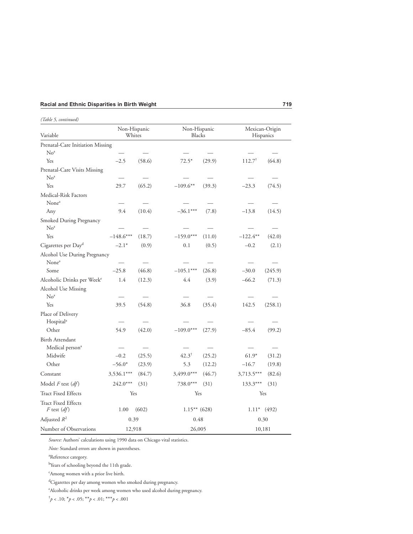*(Table 5, continued)*

| Variable                                          | Non-Hispanic<br>Whites |        | Non-Hispanic<br><b>Blacks</b> |        | Mexican-Origin<br>Hispanics |         |
|---------------------------------------------------|------------------------|--------|-------------------------------|--------|-----------------------------|---------|
| Prenatal-Care Initiation Missing                  |                        |        |                               |        |                             |         |
| No <sup>a</sup>                                   |                        |        |                               |        |                             |         |
| Yes                                               | $-2.5$                 | (58.6) | $72.5*$                       | (29.9) | $112.7^{\dagger}$           | (64.8)  |
| Prenatal-Care Visits Missing                      |                        |        |                               |        |                             |         |
| No <sup>a</sup>                                   |                        |        |                               |        |                             |         |
| Yes                                               | 29.7                   | (65.2) | $-109.6**$                    | (39.3) | $-23.3$                     | (74.5)  |
| Medical-Risk Factors                              |                        |        |                               |        |                             |         |
| None <sup>a</sup>                                 |                        |        |                               |        |                             |         |
| Any                                               | 9.4                    | (10.4) | $-36.1***$                    | (7.8)  | $-13.8$                     | (14.5)  |
| Smoked During Pregnancy<br>No <sup>a</sup>        |                        |        |                               |        |                             |         |
| Yes                                               | $-148.6***$            | (18.7) | $-159.0***$                   | (11.0) | $-122.4***$                 | (42.0)  |
| Cigarettes per Day <sup>d</sup>                   | $-2.1*$                | (0.9)  | 0.1                           | (0.5)  | $-0.2$                      | (2.1)   |
|                                                   |                        |        |                               |        |                             |         |
| Alcohol Use During Pregnancy<br>None <sup>a</sup> |                        |        |                               |        |                             |         |
| Some                                              | $-25.8$                | (46.8) | $-105.1***$                   | (26.8) | $-30.0$                     | (245.9) |
| Alcoholic Drinks per Week <sup>e</sup>            | 1.4                    | (12.3) | 4.4                           | (3.9)  | $-66.2$                     | (71.3)  |
| Alcohol Use Missing                               |                        |        |                               |        |                             |         |
| No <sup>a</sup>                                   |                        |        |                               |        |                             |         |
| Yes                                               | 39.5                   | (54.8) | 36.8                          | (35.4) | 142.5                       | (258.1) |
| Place of Delivery                                 |                        |        |                               |        |                             |         |
| Hospital <sup>a</sup>                             |                        |        |                               |        |                             |         |
| Other                                             | 54.9                   | (42.0) | $-109.0***$                   | (27.9) | $-85.4$                     | (99.2)  |
| Birth Attendant                                   |                        |        |                               |        |                             |         |
| Medical person <sup>a</sup>                       |                        |        |                               |        |                             |         |
| Midwife                                           | $-0.2$                 | (25.5) | $42.3^{\dagger}$              | (25.2) | $61.9*$                     | (31.2)  |
| Other                                             | $-56.0*$               | (23.9) | 5.3                           | (12.2) | $-16.7$                     | (19.8)  |
| Constant                                          | 3,536.1***             | (84.7) | 3,499.0***                    | (46.7) | 3,713.5***                  | (82.6)  |
| Model $F$ test $(df)$                             | 242.0***               | (31)   | 738.0***                      | (31)   | 133.3***                    | (31)    |
| <b>Tract Fixed Effects</b>                        | Yes                    |        | Yes                           |        |                             | Yes     |
| <b>Tract Fixed Effects</b><br>F test $(df)$       | 1.00                   | (602)  | $1.15***$ (628)               |        | $1.11*$ (492)               |         |
| Adjusted $R^2$                                    | 0.39                   |        | 0.48                          |        |                             | 0.30    |
| Number of Observations                            | 12,918                 |        | 26,005                        |        |                             | 10,181  |

*Source:* Authors' calculations using 1990 data on Chicago vital statistics.

*Note:* Standard errors are shown in parentheses.

a Reference category.

<sup>b</sup>Years of schooling beyond the 11th grade.

c Among women with a prior live birth.

d Cigarettes per day among women who smoked during pregnancy.

e Alcoholic drinks per week among women who used alcohol during pregnancy.

 $\phi^{\dagger} p < .10; \, {}^*p < .05; \, {}^{**}p < .01; \, {}^{***}p < .001$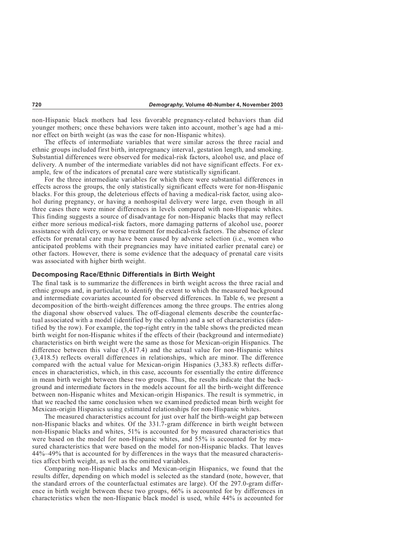non-Hispanic black mothers had less favorable pregnancy-related behaviors than did younger mothers; once these behaviors were taken into account, mother's age had a minor effect on birth weight (as was the case for non-Hispanic whites).

The effects of intermediate variables that were similar across the three racial and ethnic groups included first birth, interpregnancy interval, gestation length, and smoking. Substantial differences were observed for medical-risk factors, alcohol use, and place of delivery. A number of the intermediate variables did not have significant effects. For example, few of the indicators of prenatal care were statistically significant.

For the three intermediate variables for which there were substantial differences in effects across the groups, the only statistically significant effects were for non-Hispanic blacks. For this group, the deleterious effects of having a medical-risk factor, using alcohol during pregnancy, or having a nonhospital delivery were large, even though in all three cases there were minor differences in levels compared with non-Hispanic whites. This finding suggests a source of disadvantage for non-Hispanic blacks that may reflect either more serious medical-risk factors, more damaging patterns of alcohol use, poorer assistance with delivery, or worse treatment for medical-risk factors. The absence of clear effects for prenatal care may have been caused by adverse selection (i.e., women who anticipated problems with their pregnancies may have initiated earlier prenatal care) or other factors. However, there is some evidence that the adequacy of prenatal care visits was associated with higher birth weight.

#### **Decomposing Race/Ethnic Differentials in Birth Weight**

The final task is to summarize the differences in birth weight across the three racial and ethnic groups and, in particular, to identify the extent to which the measured background and intermediate covariates accounted for observed differences. In Table 6, we present a decomposition of the birth-weight differences among the three groups. The entries along the diagonal show observed values. The off-diagonal elements describe the counterfactual associated with a model (identified by the column) and a set of characteristics (identified by the row). For example, the top-right entry in the table shows the predicted mean birth weight for non-Hispanic whites if the effects of their (background and intermediate) characteristics on birth weight were the same as those for Mexican-origin Hispanics. The difference between this value (3,417.4) and the actual value for non-Hispanic whites (3,418.5) reflects overall differences in relationships, which are minor. The difference compared with the actual value for Mexican-origin Hispanics (3,383.8) reflects differences in characteristics, which, in this case, accounts for essentially the entire difference in mean birth weight between these two groups. Thus, the results indicate that the background and intermediate factors in the models account for all the birth-weight difference between non-Hispanic whites and Mexican-origin Hispanics. The result is symmetric, in that we reached the same conclusion when we examined predicted mean birth weight for Mexican-origin Hispanics using estimated relationships for non-Hispanic whites.

The measured characteristics account for just over half the birth-weight gap between non-Hispanic blacks and whites. Of the 331.7-gram difference in birth weight between non-Hispanic blacks and whites, 51% is accounted for by measured characteristics that were based on the model for non-Hispanic whites, and 55% is accounted for by measured characteristics that were based on the model for non-Hispanic blacks. That leaves 44%–49% that is accounted for by differences in the ways that the measured characteristics affect birth weight, as well as the omitted variables.

Comparing non-Hispanic blacks and Mexican-origin Hispanics, we found that the results differ, depending on which model is selected as the standard (note, however, that the standard errors of the counterfactual estimates are large). Of the 297.0-gram difference in birth weight between these two groups, 66% is accounted for by differences in characteristics when the non-Hispanic black model is used, while 44% is accounted for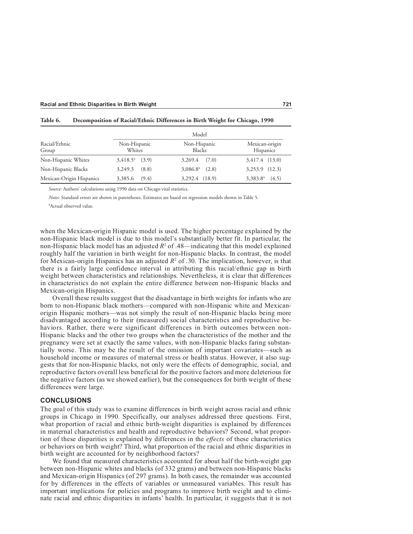| Racial/Ethnic<br>Group   | Model                  |                               |                                    |
|--------------------------|------------------------|-------------------------------|------------------------------------|
|                          | Non-Hispanic<br>Whites | Non-Hispanic<br><b>Blacks</b> | Mexican-origin<br><b>Hispanics</b> |
| Non-Hispanic Whites      | $3,418.5^a$ (3.9)      | $3,269.4$ $(7.0)$             | 3,417.4 (13.0)                     |
| Non-Hispanic Blacks      | 3,249.3<br>(8.8)       | $3,086.8^{\circ}$<br>(2.8)    | $3,253.9$ $(12.3)$                 |
| Mexican-Origin Hispanics | (9.4)<br>3,385.6       | 3,292.4 (18.9)                | (4.5)<br>$3,383.8^{\circ}$         |

**Table 6. Decomposition of Racial/Ethnic Differences in Birth Weight for Chicago, 1990**

*Source:* Authors' calculations using 1990 data on Chicago vital statistics.

*Notes:* Standard errors are shown in parentheses. Estimates are based on regression models shown in Table 5.

a Actual observed value.

when the Mexican-origin Hispanic model is used. The higher percentage explained by the non-Hispanic black model is due to this model's substantially better fit. In particular, the non-Hispanic black model has an adjusted  $R^2$  of .48—indicating that this model explained roughly half the variation in birth weight for non-Hispanic blacks. In contrast, the model for Mexican-origin Hispanics has an adjusted  $R^2$  of .30. The implication, however, is that there is a fairly large confidence interval in attributing this racial/ethnic gap in birth weight between characteristics and relationships. Nevertheless, it is clear that differences in characteristics do not explain the entire difference between non-Hispanic blacks and Mexican-origin Hispanics.

Overall these results suggest that the disadvantage in birth weights for infants who are born to non-Hispanic black mothers—compared with non-Hispanic white and Mexicanorigin Hispanic mothers—was not simply the result of non-Hispanic blacks being more disadvantaged according to their (measured) social characteristics and reproductive behaviors. Rather, there were significant differences in birth outcomes between non-Hispanic blacks and the other two groups when the characteristics of the mother and the pregnancy were set at exactly the same values, with non-Hispanic blacks faring substantially worse. This may be the result of the omission of important covariates—such as household income or measures of maternal stress or health status. However, it also suggests that for non-Hispanic blacks, not only were the effects of demographic, social, and reproductive factors overall less beneficial for the positive factors and more deleterious for the negative factors (as we showed earlier), but the consequences for birth weight of these differences were large.

#### **CONCLUSIONS**

The goal of this study was to examine differences in birth weight across racial and ethnic groups in Chicago in 1990. Specifically, our analyses addressed three questions. First, what proportion of racial and ethnic birth-weight disparities is explained by differences in maternal characteristics and health and reproductive behaviors? Second, what proportion of these disparities is explained by differences in the *effects* of these characteristics or behaviors on birth weight? Third, what proportion of the racial and ethnic disparities in birth weight are accounted for by neighborhood factors?

We found that measured characteristics accounted for about half the birth-weight gap between non-Hispanic whites and blacks (of 332 grams) and between non-Hispanic blacks and Mexican-origin Hispanics (of 297 grams). In both cases, the remainder was accounted for by differences in the effects of variables or unmeasured variables. This result has important implications for policies and programs to improve birth weight and to eliminate racial and ethnic disparities in infants' health. In particular, it suggests that it is not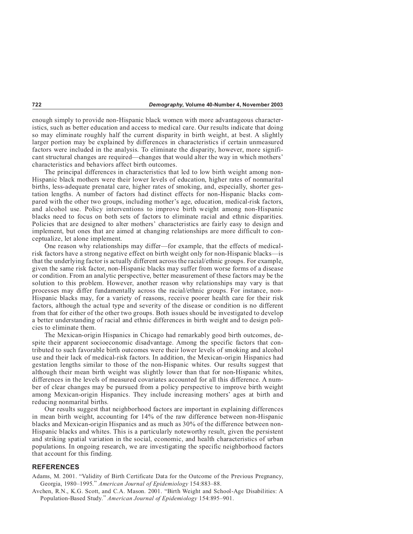enough simply to provide non-Hispanic black women with more advantageous characteristics, such as better education and access to medical care. Our results indicate that doing so may eliminate roughly half the current disparity in birth weight, at best. A slightly larger portion may be explained by differences in characteristics if certain unmeasured factors were included in the analysis. To eliminate the disparity, however, more significant structural changes are required—changes that would alter the way in which mothers' characteristics and behaviors affect birth outcomes.

The principal differences in characteristics that led to low birth weight among non-Hispanic black mothers were their lower levels of education, higher rates of nonmarital births, less-adequate prenatal care, higher rates of smoking, and, especially, shorter gestation lengths. A number of factors had distinct effects for non-Hispanic blacks compared with the other two groups, including mother's age, education, medical-risk factors, and alcohol use. Policy interventions to improve birth weight among non-Hispanic blacks need to focus on both sets of factors to eliminate racial and ethnic disparities. Policies that are designed to alter mothers' characteristics are fairly easy to design and implement, but ones that are aimed at changing relationships are more difficult to conceptualize, let alone implement.

One reason why relationships may differ—for example, that the effects of medicalrisk factors have a strong negative effect on birth weight only for non-Hispanic blacks—is that the underlying factor is actually different across the racial/ethnic groups. For example, given the same risk factor, non-Hispanic blacks may suffer from worse forms of a disease or condition. From an analytic perspective, better measurement of these factors may be the solution to this problem. However, another reason why relationships may vary is that processes may differ fundamentally across the racial/ethnic groups. For instance, non-Hispanic blacks may, for a variety of reasons, receive poorer health care for their risk factors, although the actual type and severity of the disease or condition is no different from that for either of the other two groups. Both issues should be investigated to develop a better understanding of racial and ethnic differences in birth weight and to design policies to eliminate them.

The Mexican-origin Hispanics in Chicago had remarkably good birth outcomes, despite their apparent socioeconomic disadvantage. Among the specific factors that contributed to such favorable birth outcomes were their lower levels of smoking and alcohol use and their lack of medical-risk factors. In addition, the Mexican-origin Hispanics had gestation lengths similar to those of the non-Hispanic whites. Our results suggest that although their mean birth weight was slightly lower than that for non-Hispanic whites, differences in the levels of measured covariates accounted for all this difference. A number of clear changes may be pursued from a policy perspective to improve birth weight among Mexican-origin Hispanics. They include increasing mothers' ages at birth and reducing nonmarital births.

Our results suggest that neighborhood factors are important in explaining differences in mean birth weight, accounting for 14% of the raw difference between non-Hispanic blacks and Mexican-origin Hispanics and as much as 30% of the difference between non-Hispanic blacks and whites. This is a particularly noteworthy result, given the persistent and striking spatial variation in the social, economic, and health characteristics of urban populations. In ongoing research, we are investigating the specific neighborhood factors that account for this finding.

#### **REFERENCES**

Adams, M. 2001. "Validity of Birth Certificate Data for the Outcome of the Previous Pregnancy, Georgia, 1980–1995." *American Journal of Epidemiology* 154:883–88.

Avchen, R.N., K.G. Scott, and C.A. Mason. 2001. "Birth Weight and School-Age Disabilities: A Population-Based Study." *American Journal of Epidemiology* 154:895–901.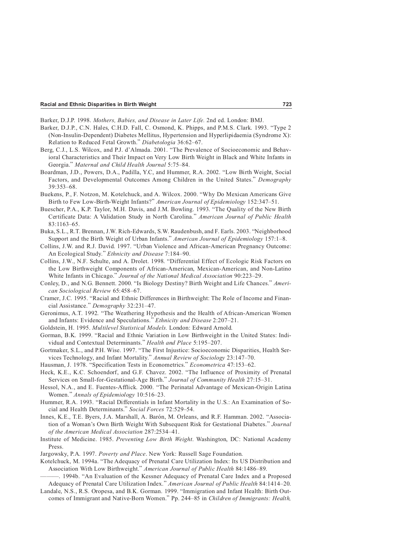Barker, D.J.P. 1998. *Mothers, Babies, and Disease in Later Life.* 2nd ed. London: BMJ.

- Barker, D.J.P., C.N. Hales, C.H.D. Fall, C. Osmond, K. Phipps, and P.M.S. Clark. 1993. "Type 2 (Non-Insulin-Dependent) Diabetes Mellitus, Hypertension and Hyperlipidaemia (Syndrome X): Relation to Reduced Fetal Growth." *Diabetologia* 36:62–67.
- Berg, C.J., L.S. Wilcox, and P.J. d'Almada. 2001. "The Prevalence of Socioeconomic and Behavioral Characteristics and Their Impact on Very Low Birth Weight in Black and White Infants in Georgia." *Maternal and Child Health Journal* 5:75–84.
- Boardman, J.D., Powers, D.A., Padilla, Y.C, and Hummer, R.A. 2002. "Low Birth Weight, Social Factors, and Developmental Outcomes Among Children in the United States." *Demography* 39:353–68.
- Buekens, P., F. Notzon, M. Kotelchuck, and A. Wilcox. 2000. "Why Do Mexican Americans Give Birth to Few Low-Birth-Weight Infants?" *American Journal of Epidemiology* 152:347–51.
- Buescher, P.A., K.P. Taylor, M.H. Davis, and J.M. Bowling. 1993. "The Quality of the New Birth Certificate Data: A Validation Study in North Carolina." *American Journal of Public Health* 83:1163–65.
- Buka, S.L., R.T. Brennan, J.W. Rich-Edwards, S.W. Raudenbush, and F. Earls. 2003. "Neighborhood Support and the Birth Weight of Urban Infants." *American Journal of Epidemiology* 157:1–8.
- Collins, J.W. and R.J. David. 1997. "Urban Violence and African-American Pregnancy Outcome: An Ecological Study." *Ethnicity and Disease* 7:184–90.
- Collins, J.W., N.F. Schulte, and A. Drolet. 1998. "Differential Effect of Ecologic Risk Factors on the Low Birthweight Components of African-American, Mexican-American, and Non-Latino White Infants in Chicago." *Journal of the National Medical Association* 90:223–29.
- Conley, D., and N.G. Bennett. 2000. "Is Biology Destiny? Birth Weight and Life Chances." *American Sociological Review* 65:458–67.
- Cramer, J.C. 1995. "Racial and Ethnic Differences in Birthweight: The Role of Income and Financial Assistance." *Demography* 32:231–47.
- Geronimus, A.T. 1992. "The Weathering Hypothesis and the Health of African-American Women and Infants: Evidence and Speculations." *Ethnicity and Disease* 2:207–21.
- Goldstein, H. 1995. *Multilevel Statistical Models.* London: Edward Arnold.
- Gorman, B.K. 1999. "Racial and Ethnic Variation in Low Birthweight in the United States: Individual and Contextual Determinants." *Health and Place* 5:195–207.
- Gortmaker, S.L., and P.H. Wise. 1997. "The First Injustice: Socioeconomic Disparities, Health Services Technology, and Infant Mortality." *Annual Review of Sociology* 23:147–70.
- Hausman, J. 1978. "Specification Tests in Econometrics." *Econometrica* 47:153–62.
- Heck, K.E., K.C. Schoendorf, and G.F. Chavez. 2002. "The Influence of Proximity of Prenatal Services on Small-for-Gestational-Age Birth." *Journal of Community Health* 27:15–31.
- Hessol, N.A., and E. Fuentes-Afflick. 2000. "The Perinatal Advantage of Mexican-Origin Latina Women." *Annals of Epidemiology* 10:516–23.
- Hummer, R.A. 1993. "Racial Differentials in Infant Mortality in the U.S.: An Examination of Social and Health Determinants." *Social Forces* 72:529–54.
- Innes, K.E., T.E. Byers, J.A. Marshall, A. Barón, M. Orleans, and R.F. Hamman. 2002. "Association of a Woman's Own Birth Weight With Subsequent Risk for Gestational Diabetes." *Journal of the American Medical Association* 287:2534–41.
- Institute of Medicine. 1985. *Preventing Low Birth Weight*. Washington, DC: National Academy Press.
- Jargowsky, P.A. 1997. *Poverty and Place*. New York: Russell Sage Foundation.

Kotelchuck, M. 1994a. "The Adequacy of Prenatal Care Utilization Index: Its US Distribution and Association With Low Birthweight." *American Journal of Public Health* 84:1486–89.

- -. 1994b. "An Evaluation of the Kessner Adequacy of Prenatal Care Index and a Proposed Adequacy of Prenatal Care Utilization Index." *American Journal of Public Health* 84:1414–20.
- Landale, N.S., R.S. Oropesa, and B.K. Gorman. 1999. "Immigration and Infant Health: Birth Outcomes of Immigrant and Native-Born Women." Pp. 244–85 in *Children of Immigrants: Health,*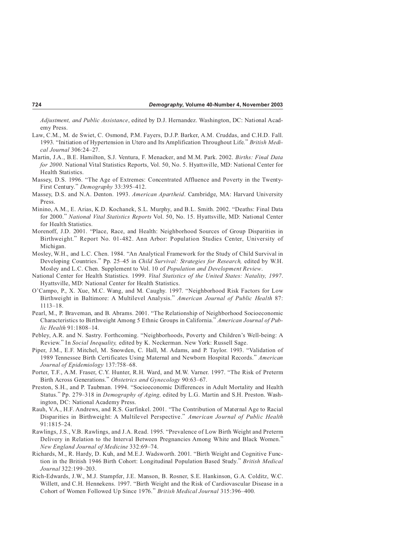*Adjustment, and Public Assistance*, edited by D.J. Hernandez. Washington, DC: National Academy Press.

- Law, C.M., M. de Swiet, C. Osmond, P.M. Fayers, D.J.P. Barker, A.M. Cruddas, and C.H.D. Fall. 1993. "Initiation of Hypertension in Utero and Its Amplification Throughout Life." *British Medical Journal* 306:24–27.
- Martin, J.A., B.E. Hamilton, S.J. Ventura, F. Menacker, and M.M. Park. 2002. *Births: Final Data for 2000*. National Vital Statistics Reports, Vol. 50, No. 5. Hyattsville, MD: National Center for Health Statistics.
- Massey, D.S. 1996. "The Age of Extremes: Concentrated Affluence and Poverty in the Twenty-First Century." *Demography* 33:395–412.
- Massey, D.S. and N.A. Denton. 1993. *American Apartheid*. Cambridge, MA: Harvard University Press.
- Minino, A.M., E. Arias, K.D. Kochanek, S.L. Murphy, and B.L. Smith. 2002. "Deaths: Final Data for 2000." *National Vital Statistics Reports* Vol. 50, No. 15. Hyattsville, MD: National Center for Health Statistics.
- Morenoff, J.D. 2001. "Place, Race, and Health: Neighborhood Sources of Group Disparities in Birthweight." Report No. 01-482. Ann Arbor: Population Studies Center, University of Michigan.
- Mosley, W.H., and L.C. Chen. 1984. "An Analytical Framework for the Study of Child Survival in Developing Countries." Pp. 25–45 in *Child Survival: Strategies for Research,* edited by W.H. Mosley and L.C. Chen. Supplement to Vol. 10 of *Population and Development Review*.
- National Center for Health Statistics. 1999. *Vital Statistics of the United States: Natality, 1997*. Hyattsville, MD: National Center for Health Statistics.
- O'Campo, P., X. Xue, M.C. Wang, and M. Caughy. 1997. "Neighborhood Risk Factors for Low Birthweight in Baltimore: A Multilevel Analysis." *American Journal of Public Health* 87: 1113–18.
- Pearl, M., P. Braveman, and B. Abrams. 2001. "The Relationship of Neighborhood Socioeconomic Characteristics to Birthweight Among 5 Ethnic Groups in California." *American Journal of Public Health* 91:1808–14.
- Pebley, A.R. and N. Sastry. Forthcoming. "Neighborhoods, Poverty and Children's Well-being: A Review." In *Social Inequality,* edited by K. Neckerman. New York: Russell Sage.
- Piper, J.M., E.F. Mitchel, M. Snowden, C. Hall, M. Adams, and P. Taylor. 1993. "Validation of 1989 Tennessee Birth Certificates Using Maternal and Newborn Hospital Records." *American Journal of Epidemiology* 137:758–68.
- Porter, T.F., A.M. Fraser, C.Y. Hunter, R.H. Ward, and M.W. Varner. 1997. "The Risk of Preterm Birth Across Generations." *Obstetrics and Gynecology* 90:63–67.
- Preston, S.H., and P. Taubman. 1994. "Socioeconomic Differences in Adult Mortality and Health Status." Pp. 279–318 in *Demography of Aging,* edited by L.G. Martin and S.H. Preston. Washington, DC: National Academy Press.
- Rauh, V.A., H.F. Andrews, and R.S. Garfinkel. 2001. "The Contribution of Maternal Age to Racial Disparities in Birthweight: A Multilevel Perspective." *American Journal of Public Health* 91:1815–24.
- Rawlings, J.S., V.B. Rawlings, and J.A. Read. 1995. "Prevalence of Low Birth Weight and Preterm Delivery in Relation to the Interval Between Pregnancies Among White and Black Women." *New England Journal of Medicine* 332:69–74.
- Richards, M., R. Hardy, D. Kuh, and M.E.J. Wadsworth. 2001. "Birth Weight and Cognitive Function in the British 1946 Birth Cohort: Longitudinal Population Based Study." *British Medical Journal* 322:199–203.
- Rich-Edwards, J.W., M.J. Stampfer, J.E. Manson, B. Rosner, S.E. Hankinson, G.A. Colditz, W.C. Willett, and C.H. Hennekens. 1997. "Birth Weight and the Risk of Cardiovascular Disease in a Cohort of Women Followed Up Since 1976." *British Medical Journal* 315:396–400.